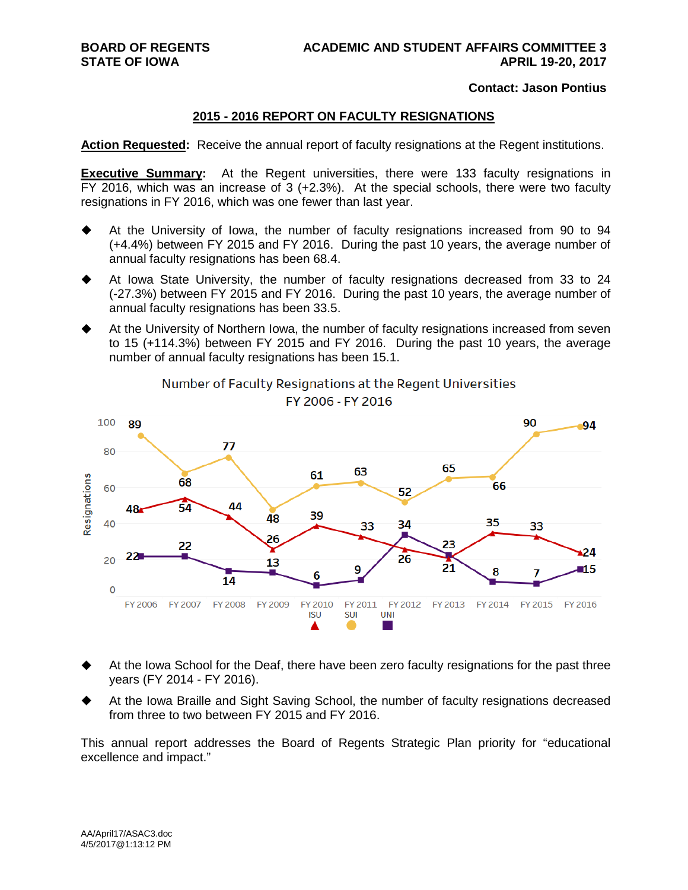#### **Contact: Jason Pontius**

#### **2015 - 2016 REPORT ON FACULTY RESIGNATIONS**

**Action Requested:** Receive the annual report of faculty resignations at the Regent institutions.

**Executive Summary:** At the Regent universities, there were 133 faculty resignations in FY 2016, which was an increase of 3 (+2.3%). At the special schools, there were two faculty resignations in FY 2016, which was one fewer than last year.

- At the University of Iowa, the number of faculty resignations increased from 90 to 94 (+4.4%) between FY 2015 and FY 2016. During the past 10 years, the average number of annual faculty resignations has been 68.4.
- At Iowa State University, the number of faculty resignations decreased from 33 to 24 (-27.3%) between FY 2015 and FY 2016. During the past 10 years, the average number of annual faculty resignations has been 33.5.
- At the University of Northern Iowa, the number of faculty resignations increased from seven to 15 (+114.3%) between FY 2015 and FY 2016. During the past 10 years, the average number of annual faculty resignations has been 15.1.



Number of Faculty Resignations at the Regent Universities FY 2006 - FY 2016

- At the Iowa School for the Deaf, there have been zero faculty resignations for the past three years (FY 2014 - FY 2016).
- At the Iowa Braille and Sight Saving School, the number of faculty resignations decreased from three to two between FY 2015 and FY 2016.

This annual report addresses the Board of Regents Strategic Plan priority for "educational excellence and impact."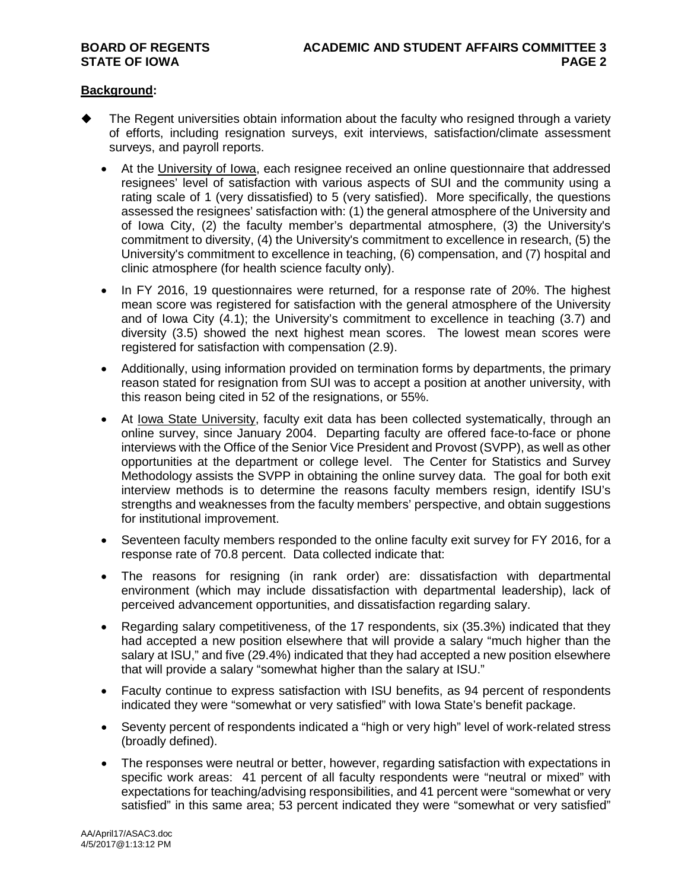### **Background:**

- The Regent universities obtain information about the faculty who resigned through a variety of efforts, including resignation surveys, exit interviews, satisfaction/climate assessment surveys, and payroll reports.
	- At the University of Iowa, each resignee received an online questionnaire that addressed resignees' level of satisfaction with various aspects of SUI and the community using a rating scale of 1 (very dissatisfied) to 5 (very satisfied). More specifically, the questions assessed the resignees' satisfaction with: (1) the general atmosphere of the University and of Iowa City, (2) the faculty member's departmental atmosphere, (3) the University's commitment to diversity, (4) the University's commitment to excellence in research, (5) the University's commitment to excellence in teaching, (6) compensation, and (7) hospital and clinic atmosphere (for health science faculty only).
	- In FY 2016, 19 questionnaires were returned, for a response rate of 20%. The highest mean score was registered for satisfaction with the general atmosphere of the University and of Iowa City (4.1); the University's commitment to excellence in teaching (3.7) and diversity (3.5) showed the next highest mean scores. The lowest mean scores were registered for satisfaction with compensation (2.9).
	- Additionally, using information provided on termination forms by departments, the primary reason stated for resignation from SUI was to accept a position at another university, with this reason being cited in 52 of the resignations, or 55%.
	- At Iowa State University, faculty exit data has been collected systematically, through an online survey, since January 2004. Departing faculty are offered face-to-face or phone interviews with the Office of the Senior Vice President and Provost (SVPP), as well as other opportunities at the department or college level. The Center for Statistics and Survey Methodology assists the SVPP in obtaining the online survey data. The goal for both exit interview methods is to determine the reasons faculty members resign, identify ISU's strengths and weaknesses from the faculty members' perspective, and obtain suggestions for institutional improvement.
	- Seventeen faculty members responded to the online faculty exit survey for FY 2016, for a response rate of 70.8 percent. Data collected indicate that:
	- The reasons for resigning (in rank order) are: dissatisfaction with departmental environment (which may include dissatisfaction with departmental leadership), lack of perceived advancement opportunities, and dissatisfaction regarding salary.
	- Regarding salary competitiveness, of the 17 respondents, six (35.3%) indicated that they had accepted a new position elsewhere that will provide a salary "much higher than the salary at ISU," and five (29.4%) indicated that they had accepted a new position elsewhere that will provide a salary "somewhat higher than the salary at ISU."
	- Faculty continue to express satisfaction with ISU benefits, as 94 percent of respondents indicated they were "somewhat or very satisfied" with Iowa State's benefit package.
	- Seventy percent of respondents indicated a "high or very high" level of work-related stress (broadly defined).
	- The responses were neutral or better, however, regarding satisfaction with expectations in specific work areas: 41 percent of all faculty respondents were "neutral or mixed" with expectations for teaching/advising responsibilities, and 41 percent were "somewhat or very satisfied" in this same area; 53 percent indicated they were "somewhat or very satisfied"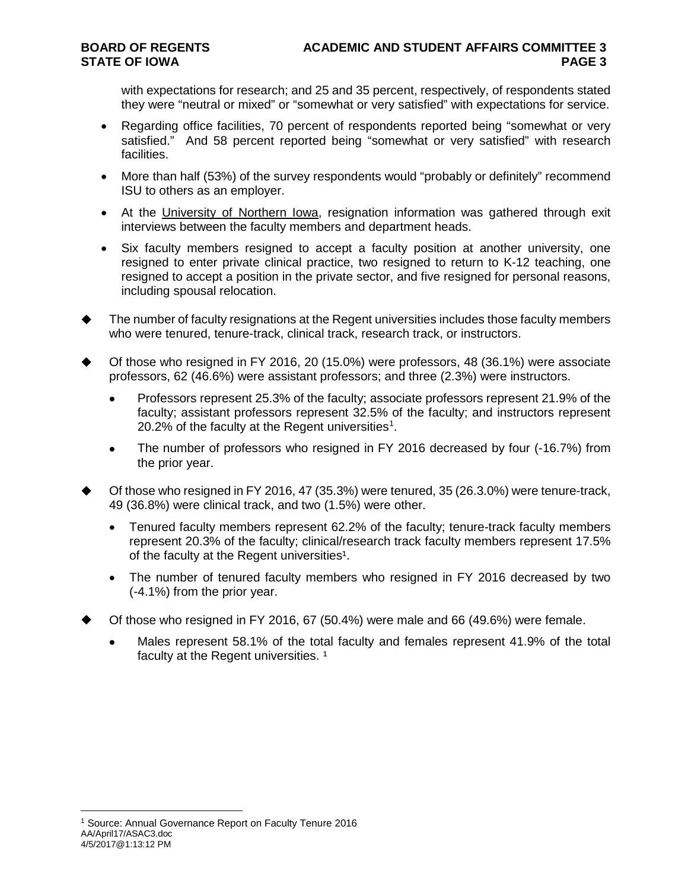with expectations for research; and 25 and 35 percent, respectively, of respondents stated they were "neutral or mixed" or "somewhat or very satisfied" with expectations for service.

- Regarding office facilities, 70 percent of respondents reported being "somewhat or very satisfied." And 58 percent reported being "somewhat or very satisfied" with research facilities.
- More than half (53%) of the survey respondents would "probably or definitely" recommend ISU to others as an employer.
- At the University of Northern Iowa, resignation information was gathered through exit interviews between the faculty members and department heads.
- Six faculty members resigned to accept a faculty position at another university, one resigned to enter private clinical practice, two resigned to return to K-12 teaching, one resigned to accept a position in the private sector, and five resigned for personal reasons, including spousal relocation.
- The number of faculty resignations at the Regent universities includes those faculty members who were tenured, tenure-track, clinical track, research track, or instructors.
- Of those who resigned in FY 2016, 20 (15.0%) were professors, 48 (36.1%) were associate professors, 62 (46.6%) were assistant professors; and three (2.3%) were instructors.
	- Professors represent 25.3% of the faculty; associate professors represent 21.9% of the faculty; assistant professors represent 32.5% of the faculty; and instructors represent 20.2% of the faculty at the Regent universities<sup>[1](#page-2-0)</sup>.
	- The number of professors who resigned in FY 2016 decreased by four (-16.7%) from the prior year.
- Of those who resigned in FY 2016, 47 (35.3%) were tenured, 35 (26.3.0%) were tenure-track, 49 (36.8%) were clinical track, and two (1.5%) were other.
	- Tenured faculty members represent 62.2% of the faculty; tenure-track faculty members represent 20.3% of the faculty; clinical/research track faculty members represent 17.5% of the faculty at the Regent universities<sup>1</sup>.
	- The number of tenured faculty members who resigned in FY 2016 decreased by two (-4.1%) from the prior year.
- Of those who resigned in FY 2016, 67 (50.4%) were male and 66 (49.6%) were female.
	- Males represent 58.1% of the total faculty and females represent 41.9% of the total faculty at the Regent universities.<sup>1</sup>

<span id="page-2-0"></span>AA/April17/ASAC3.doc 4/5/2017@1:13:12 PM 1 Source: Annual Governance Report on Faculty Tenure 2016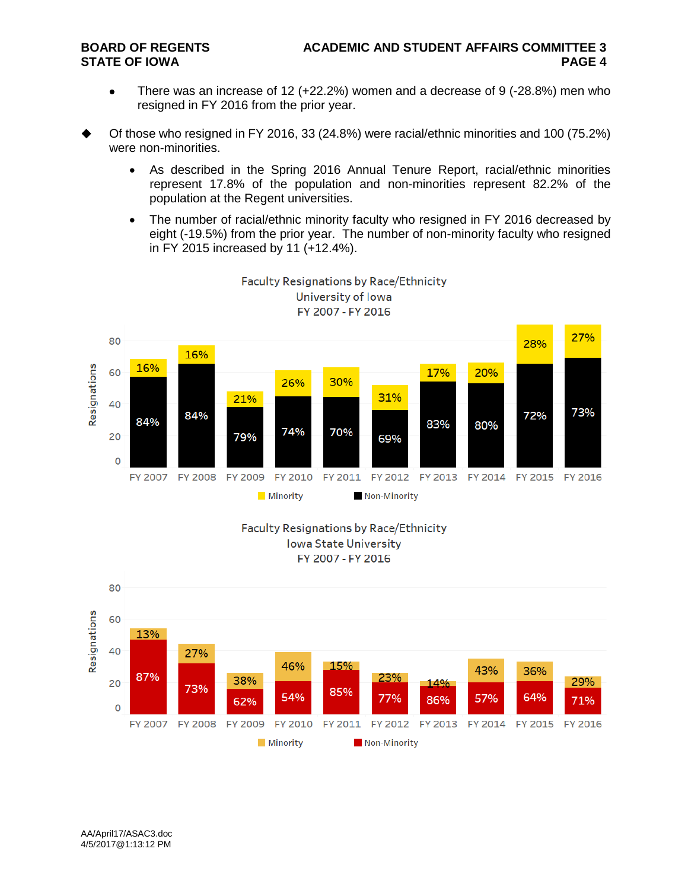- There was an increase of 12 (+22.2%) women and a decrease of 9 (-28.8%) men who resigned in FY 2016 from the prior year.
- Of those who resigned in FY 2016, 33 (24.8%) were racial/ethnic minorities and 100 (75.2%) were non-minorities.
	- As described in the Spring 2016 Annual Tenure Report, racial/ethnic minorities represent 17.8% of the population and non-minorities represent 82.2% of the population at the Regent universities.
	- The number of racial/ethnic minority faculty who resigned in FY 2016 decreased by eight (-19.5%) from the prior year. The number of non-minority faculty who resigned in FY 2015 increased by 11 (+12.4%).



**Faculty Resignations by Race/Ethnicity** University of Iowa



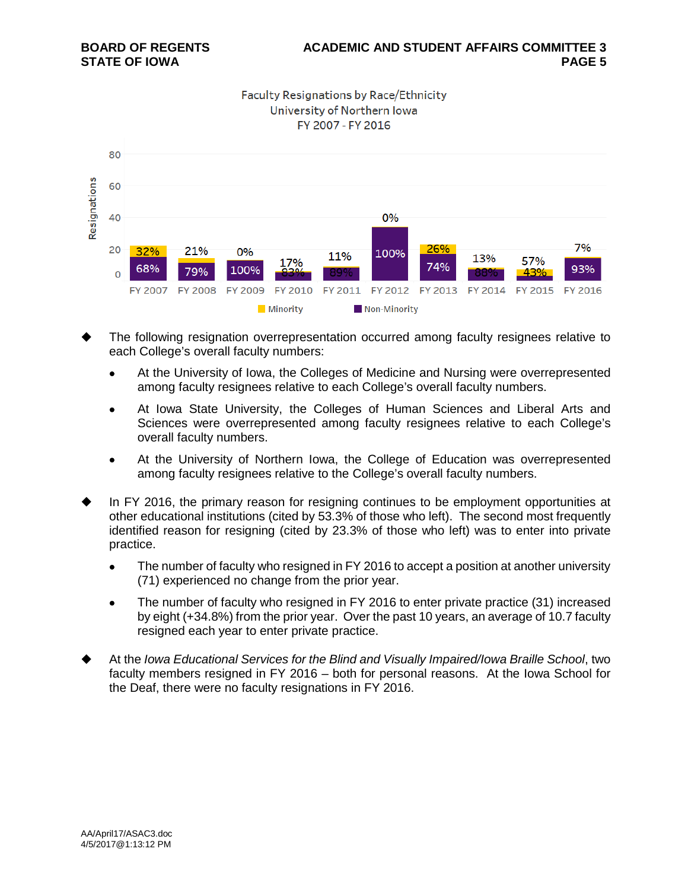**Faculty Resignations by Race/Ethnicity** University of Northern Iowa FY 2007 - FY 2016



- The following resignation overrepresentation occurred among faculty resignees relative to each College's overall faculty numbers:
	- At the University of Iowa, the Colleges of Medicine and Nursing were overrepresented among faculty resignees relative to each College's overall faculty numbers.
	- At Iowa State University, the Colleges of Human Sciences and Liberal Arts and Sciences were overrepresented among faculty resignees relative to each College's overall faculty numbers.
	- At the University of Northern Iowa, the College of Education was overrepresented among faculty resignees relative to the College's overall faculty numbers.
- In FY 2016, the primary reason for resigning continues to be employment opportunities at other educational institutions (cited by 53.3% of those who left). The second most frequently identified reason for resigning (cited by 23.3% of those who left) was to enter into private practice.
	- The number of faculty who resigned in FY 2016 to accept a position at another university (71) experienced no change from the prior year.
	- The number of faculty who resigned in FY 2016 to enter private practice (31) increased by eight (+34.8%) from the prior year. Over the past 10 years, an average of 10.7 faculty resigned each year to enter private practice.
- At the *Iowa Educational Services for the Blind and Visually Impaired/Iowa Braille School*, two faculty members resigned in FY 2016 – both for personal reasons. At the Iowa School for the Deaf, there were no faculty resignations in FY 2016.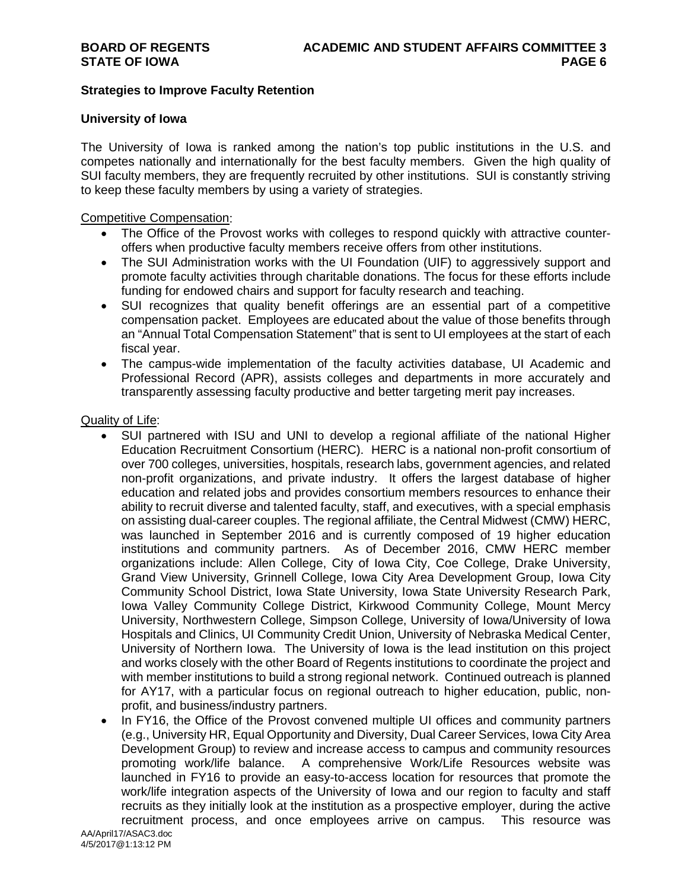### **Strategies to Improve Faculty Retention**

#### **University of Iowa**

The University of Iowa is ranked among the nation's top public institutions in the U.S. and competes nationally and internationally for the best faculty members. Given the high quality of SUI faculty members, they are frequently recruited by other institutions. SUI is constantly striving to keep these faculty members by using a variety of strategies.

#### Competitive Compensation:

- The Office of the Provost works with colleges to respond quickly with attractive counteroffers when productive faculty members receive offers from other institutions.
- The SUI Administration works with the UI Foundation (UIF) to aggressively support and promote faculty activities through charitable donations. The focus for these efforts include funding for endowed chairs and support for faculty research and teaching.
- SUI recognizes that quality benefit offerings are an essential part of a competitive compensation packet. Employees are educated about the value of those benefits through an "Annual Total Compensation Statement" that is sent to UI employees at the start of each fiscal year.
- The campus-wide implementation of the faculty activities database, UI Academic and Professional Record (APR), assists colleges and departments in more accurately and transparently assessing faculty productive and better targeting merit pay increases.

### Quality of Life:

- SUI partnered with ISU and UNI to develop a regional affiliate of the national Higher Education Recruitment Consortium (HERC). HERC is a national non-profit consortium of over 700 colleges, universities, hospitals, research labs, government agencies, and related non-profit organizations, and private industry. It offers the largest database of higher education and related jobs and provides consortium members resources to enhance their ability to recruit diverse and talented faculty, staff, and executives, with a special emphasis on assisting dual-career couples. The regional affiliate, the Central Midwest (CMW) HERC, was launched in September 2016 and is currently composed of 19 higher education institutions and community partners. As of December 2016, CMW HERC member organizations include: Allen College, City of Iowa City, Coe College, Drake University, Grand View University, Grinnell College, Iowa City Area Development Group, Iowa City Community School District, Iowa State University, Iowa State University Research Park, Iowa Valley Community College District, Kirkwood Community College, Mount Mercy University, Northwestern College, Simpson College, University of Iowa/University of Iowa Hospitals and Clinics, UI Community Credit Union, University of Nebraska Medical Center, University of Northern Iowa. The University of Iowa is the lead institution on this project and works closely with the other Board of Regents institutions to coordinate the project and with member institutions to build a strong regional network. Continued outreach is planned for AY17, with a particular focus on regional outreach to higher education, public, nonprofit, and business/industry partners.
- In FY16, the Office of the Provost convened multiple UI offices and community partners (e.g., University HR, Equal Opportunity and Diversity, Dual Career Services, Iowa City Area Development Group) to review and increase access to campus and community resources promoting work/life balance. A comprehensive Work/Life Resources website was launched in FY16 to provide an easy-to-access location for resources that promote the work/life integration aspects of the University of Iowa and our region to faculty and staff recruits as they initially look at the institution as a prospective employer, during the active recruitment process, and once employees arrive on campus. This resource was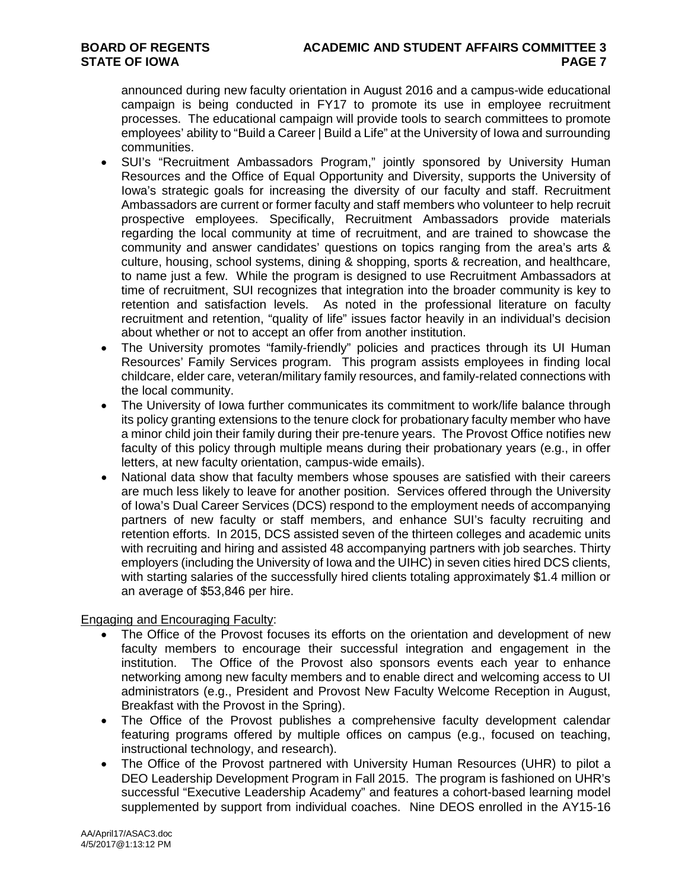announced during new faculty orientation in August 2016 and a campus-wide educational campaign is being conducted in FY17 to promote its use in employee recruitment processes. The educational campaign will provide tools to search committees to promote employees' ability to "Build a Career | Build a Life" at the University of Iowa and surrounding communities.

- SUI's "Recruitment Ambassadors Program," jointly sponsored by University Human Resources and the Office of Equal Opportunity and Diversity, supports the University of Iowa's strategic goals for increasing the diversity of our faculty and staff. Recruitment Ambassadors are current or former faculty and staff members who volunteer to help recruit prospective employees. Specifically, Recruitment Ambassadors provide materials regarding the local community at time of recruitment, and are trained to showcase the community and answer candidates' questions on topics ranging from the area's arts & culture, housing, school systems, dining & shopping, sports & recreation, and healthcare, to name just a few. While the program is designed to use Recruitment Ambassadors at time of recruitment, SUI recognizes that integration into the broader community is key to retention and satisfaction levels. As noted in the professional literature on faculty recruitment and retention, "quality of life" issues factor heavily in an individual's decision about whether or not to accept an offer from another institution.
- The University promotes "family-friendly" policies and practices through its UI Human Resources' Family Services program. This program assists employees in finding local childcare, elder care, veteran/military family resources, and family-related connections with the local community.
- The University of Iowa further communicates its commitment to work/life balance through its policy granting extensions to the tenure clock for probationary faculty member who have a minor child join their family during their pre-tenure years. The Provost Office notifies new faculty of this policy through multiple means during their probationary years (e.g., in offer letters, at new faculty orientation, campus-wide emails).
- National data show that faculty members whose spouses are satisfied with their careers are much less likely to leave for another position. Services offered through the University of Iowa's Dual Career Services (DCS) respond to the employment needs of accompanying partners of new faculty or staff members, and enhance SUI's faculty recruiting and retention efforts. In 2015, DCS assisted seven of the thirteen colleges and academic units with recruiting and hiring and assisted 48 accompanying partners with job searches. Thirty employers (including the University of Iowa and the UIHC) in seven cities hired DCS clients, with starting salaries of the successfully hired clients totaling approximately \$1.4 million or an average of \$53,846 per hire.

Engaging and Encouraging Faculty:

- The Office of the Provost focuses its efforts on the orientation and development of new faculty members to encourage their successful integration and engagement in the institution. The Office of the Provost also sponsors events each year to enhance networking among new faculty members and to enable direct and welcoming access to UI administrators (e.g., President and Provost New Faculty Welcome Reception in August, Breakfast with the Provost in the Spring).
- The Office of the Provost publishes a comprehensive faculty development calendar featuring programs offered by multiple offices on campus (e.g., focused on teaching, instructional technology, and research).
- The Office of the Provost partnered with University Human Resources (UHR) to pilot a DEO Leadership Development Program in Fall 2015. The program is fashioned on UHR's successful "Executive Leadership Academy" and features a cohort-based learning model supplemented by support from individual coaches. Nine DEOS enrolled in the AY15-16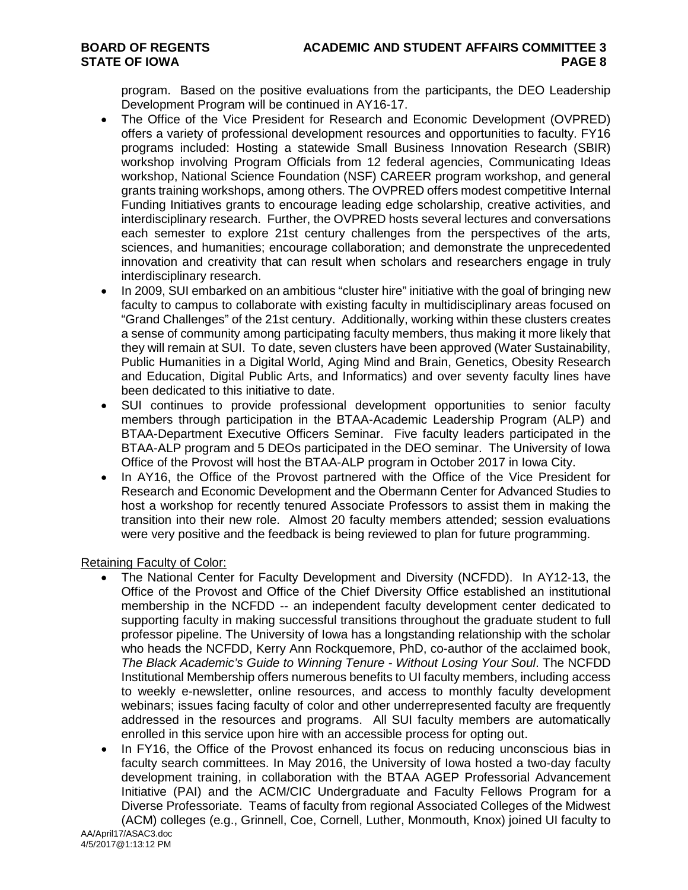program. Based on the positive evaluations from the participants, the DEO Leadership Development Program will be continued in AY16-17.

- The Office of the Vice President for Research and Economic Development (OVPRED) offers a variety of professional development resources and opportunities to faculty. FY16 programs included: Hosting a statewide Small Business Innovation Research (SBIR) workshop involving Program Officials from 12 federal agencies, Communicating Ideas workshop, National Science Foundation (NSF) CAREER program workshop, and general grants training workshops, among others. The OVPRED offers modest competitive Internal Funding Initiatives grants to encourage leading edge scholarship, creative activities, and interdisciplinary research. Further, the OVPRED hosts several lectures and conversations each semester to explore 21st century challenges from the perspectives of the arts, sciences, and humanities; encourage collaboration; and demonstrate the unprecedented innovation and creativity that can result when scholars and researchers engage in truly interdisciplinary research.
- In 2009, SUI embarked on an ambitious "cluster hire" initiative with the goal of bringing new faculty to campus to collaborate with existing faculty in multidisciplinary areas focused on "Grand Challenges" of the 21st century. Additionally, working within these clusters creates a sense of community among participating faculty members, thus making it more likely that they will remain at SUI. To date, seven clusters have been approved (Water Sustainability, Public Humanities in a Digital World, Aging Mind and Brain, Genetics, Obesity Research and Education, Digital Public Arts, and Informatics) and over seventy faculty lines have been dedicated to this initiative to date.
- SUI continues to provide professional development opportunities to senior faculty members through participation in the BTAA-Academic Leadership Program (ALP) and BTAA-Department Executive Officers Seminar. Five faculty leaders participated in the BTAA-ALP program and 5 DEOs participated in the DEO seminar. The University of Iowa Office of the Provost will host the BTAA-ALP program in October 2017 in Iowa City.
- In AY16, the Office of the Provost partnered with the Office of the Vice President for Research and Economic Development and the Obermann Center for Advanced Studies to host a workshop for recently tenured Associate Professors to assist them in making the transition into their new role. Almost 20 faculty members attended; session evaluations were very positive and the feedback is being reviewed to plan for future programming.

Retaining Faculty of Color:

- The National Center for Faculty Development and Diversity (NCFDD). In AY12-13, the Office of the Provost and Office of the Chief Diversity Office established an institutional membership in the NCFDD -- an independent faculty development center dedicated to supporting faculty in making successful transitions throughout the graduate student to full professor pipeline. The University of Iowa has a longstanding relationship with the scholar who heads the NCFDD, Kerry Ann Rockquemore, PhD, co-author of the acclaimed book, *The Black Academic's Guide to Winning Tenure - Without Losing Your Soul*. The NCFDD Institutional Membership offers numerous benefits to UI faculty members, including access to weekly e-newsletter, online resources, and access to monthly faculty development webinars; issues facing faculty of color and other underrepresented faculty are frequently addressed in the resources and programs. All SUI faculty members are automatically enrolled in this service upon hire with an accessible process for opting out.
- In FY16, the Office of the Provost enhanced its focus on reducing unconscious bias in faculty search committees. In May 2016, the University of Iowa hosted a two-day faculty development training, in collaboration with the BTAA AGEP Professorial Advancement Initiative (PAI) and the ACM/CIC Undergraduate and Faculty Fellows Program for a Diverse Professoriate. Teams of faculty from regional Associated Colleges of the Midwest (ACM) colleges (e.g., Grinnell, Coe, Cornell, Luther, Monmouth, Knox) joined UI faculty to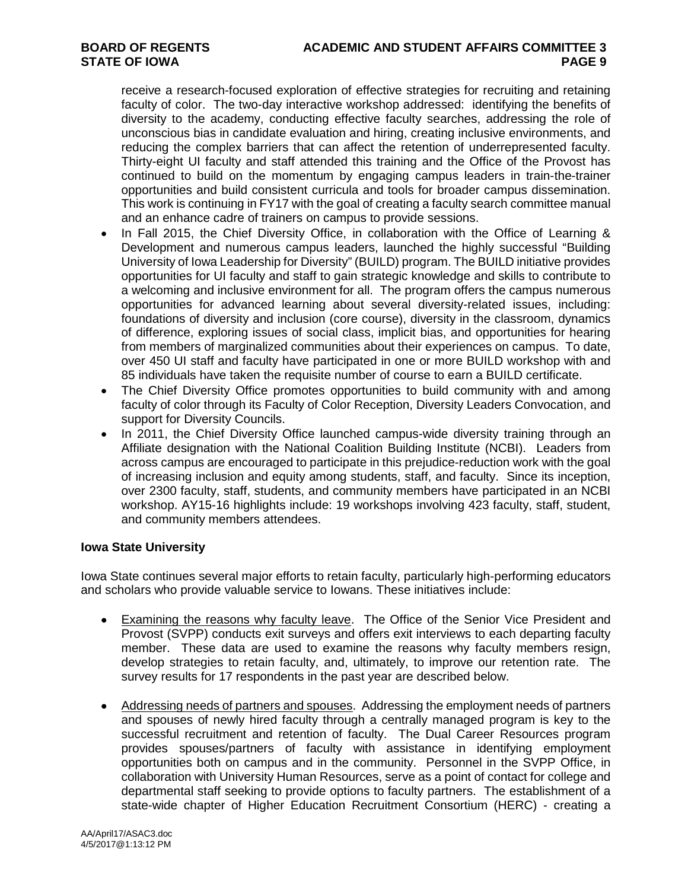# **BOARD OF REGENTS ACADEMIC AND STUDENT AFFAIRS COMMITTEE 3**

receive a research-focused exploration of effective strategies for recruiting and retaining faculty of color. The two-day interactive workshop addressed: identifying the benefits of diversity to the academy, conducting effective faculty searches, addressing the role of unconscious bias in candidate evaluation and hiring, creating inclusive environments, and reducing the complex barriers that can affect the retention of underrepresented faculty. Thirty-eight UI faculty and staff attended this training and the Office of the Provost has continued to build on the momentum by engaging campus leaders in train-the-trainer opportunities and build consistent curricula and tools for broader campus dissemination. This work is continuing in FY17 with the goal of creating a faculty search committee manual and an enhance cadre of trainers on campus to provide sessions.

- In Fall 2015, the Chief Diversity Office, in collaboration with the Office of Learning & Development and numerous campus leaders, launched the highly successful "Building University of Iowa Leadership for Diversity" (BUILD) program. The BUILD initiative provides opportunities for UI faculty and staff to gain strategic knowledge and skills to contribute to a welcoming and inclusive environment for all. The program offers the campus numerous opportunities for advanced learning about several diversity-related issues, including: foundations of diversity and inclusion (core course), diversity in the classroom, dynamics of difference, exploring issues of social class, implicit bias, and opportunities for hearing from members of marginalized communities about their experiences on campus. To date, over 450 UI staff and faculty have participated in one or more BUILD workshop with and 85 individuals have taken the requisite number of course to earn a BUILD certificate.
- The Chief Diversity Office promotes opportunities to build community with and among faculty of color through its Faculty of Color Reception, Diversity Leaders Convocation, and support for Diversity Councils.
- In 2011, the Chief Diversity Office launched campus-wide diversity training through an Affiliate designation with the National Coalition Building Institute (NCBI). Leaders from across campus are encouraged to participate in this prejudice-reduction work with the goal of increasing inclusion and equity among students, staff, and faculty. Since its inception, over 2300 faculty, staff, students, and community members have participated in an NCBI workshop. AY15-16 highlights include: 19 workshops involving 423 faculty, staff, student, and community members attendees.

# **Iowa State University**

Iowa State continues several major efforts to retain faculty, particularly high-performing educators and scholars who provide valuable service to Iowans. These initiatives include:

- Examining the reasons why faculty leave. The Office of the Senior Vice President and Provost (SVPP) conducts exit surveys and offers exit interviews to each departing faculty member. These data are used to examine the reasons why faculty members resign, develop strategies to retain faculty, and, ultimately, to improve our retention rate. The survey results for 17 respondents in the past year are described below.
- Addressing needs of partners and spouses. Addressing the employment needs of partners and spouses of newly hired faculty through a centrally managed program is key to the successful recruitment and retention of faculty. The Dual Career Resources program provides spouses/partners of faculty with assistance in identifying employment opportunities both on campus and in the community. Personnel in the SVPP Office, in collaboration with University Human Resources, serve as a point of contact for college and departmental staff seeking to provide options to faculty partners. The establishment of a state-wide chapter of Higher Education Recruitment Consortium (HERC) - creating a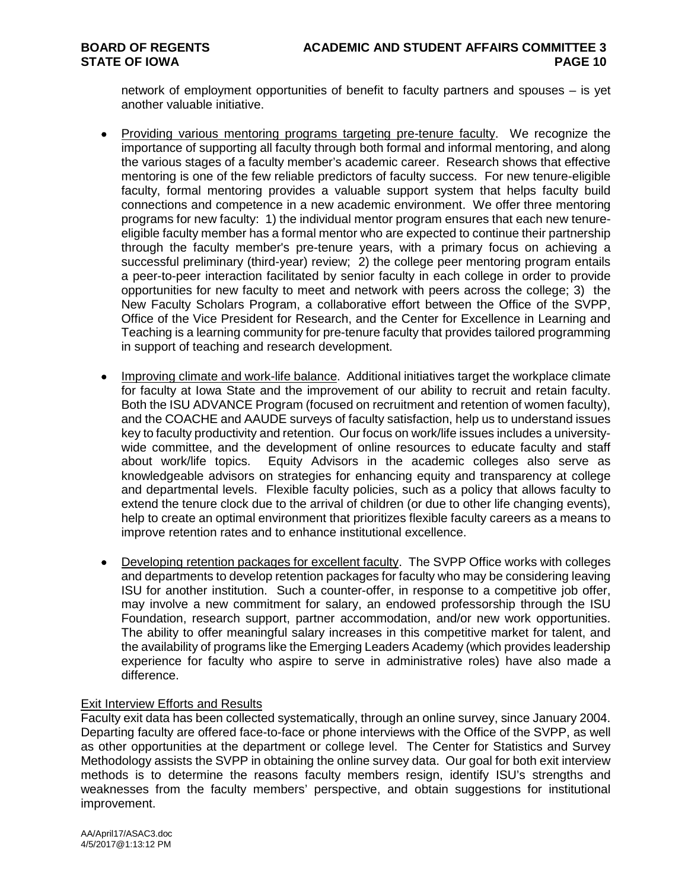network of employment opportunities of benefit to faculty partners and spouses – is yet another valuable initiative.

- Providing various mentoring programs targeting pre-tenure faculty. We recognize the importance of supporting all faculty through both formal and informal mentoring, and along the various stages of a faculty member's academic career. Research shows that effective mentoring is one of the few reliable predictors of faculty success. For new tenure-eligible faculty, formal mentoring provides a valuable support system that helps faculty build connections and competence in a new academic environment. We offer three mentoring programs for new faculty: 1) the individual mentor program ensures that each new tenureeligible faculty member has a formal mentor who are expected to continue their partnership through the faculty member's pre-tenure years, with a primary focus on achieving a successful preliminary (third-year) review; 2) the college peer mentoring program entails a peer-to-peer interaction facilitated by senior faculty in each college in order to provide opportunities for new faculty to meet and network with peers across the college; 3) the New Faculty Scholars Program, a collaborative effort between the Office of the SVPP, Office of the Vice President for Research, and the Center for Excellence in Learning and Teaching is a learning community for pre-tenure faculty that provides tailored programming in support of teaching and research development.
- Improving climate and work-life balance. Additional initiatives target the workplace climate for faculty at Iowa State and the improvement of our ability to recruit and retain faculty. Both the ISU ADVANCE Program (focused on recruitment and retention of women faculty), and the COACHE and AAUDE surveys of faculty satisfaction, help us to understand issues key to faculty productivity and retention. Our focus on work/life issues includes a universitywide committee, and the development of online resources to educate faculty and staff about work/life topics. Equity Advisors in the academic colleges also serve as knowledgeable advisors on strategies for enhancing equity and transparency at college and departmental levels. Flexible faculty policies, such as a policy that allows faculty to extend the tenure clock due to the arrival of children (or due to other life changing events), help to create an optimal environment that prioritizes flexible faculty careers as a means to improve retention rates and to enhance institutional excellence.
- Developing retention packages for excellent faculty. The SVPP Office works with colleges and departments to develop retention packages for faculty who may be considering leaving ISU for another institution. Such a counter-offer, in response to a competitive job offer, may involve a new commitment for salary, an endowed professorship through the ISU Foundation, research support, partner accommodation, and/or new work opportunities. The ability to offer meaningful salary increases in this competitive market for talent, and the availability of programs like the Emerging Leaders Academy (which provides leadership experience for faculty who aspire to serve in administrative roles) have also made a difference.

#### Exit Interview Efforts and Results

Faculty exit data has been collected systematically, through an online survey, since January 2004. Departing faculty are offered face-to-face or phone interviews with the Office of the SVPP, as well as other opportunities at the department or college level. The Center for Statistics and Survey Methodology assists the SVPP in obtaining the online survey data. Our goal for both exit interview methods is to determine the reasons faculty members resign, identify ISU's strengths and weaknesses from the faculty members' perspective, and obtain suggestions for institutional improvement.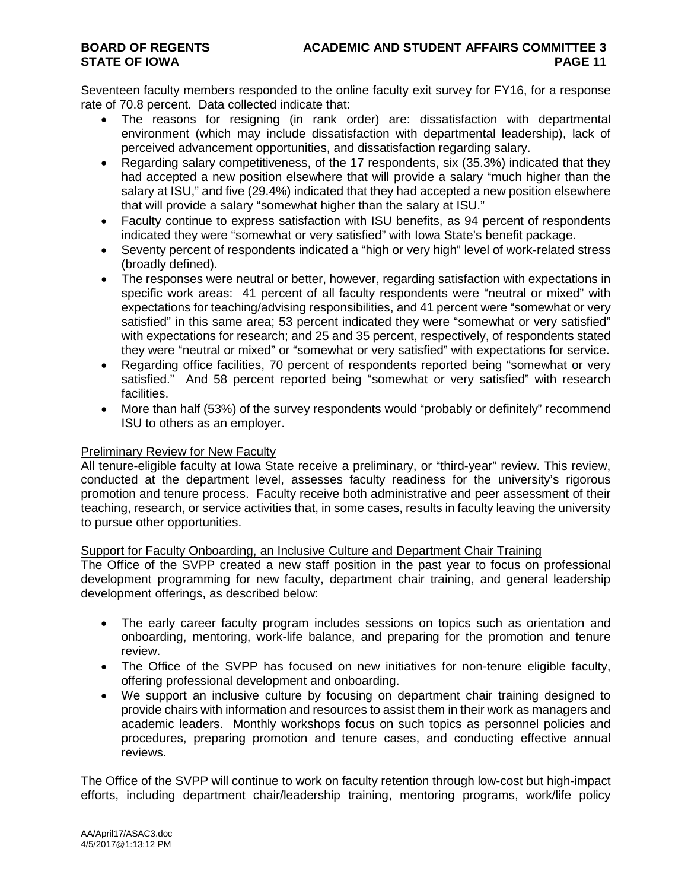Seventeen faculty members responded to the online faculty exit survey for FY16, for a response rate of 70.8 percent. Data collected indicate that:

- The reasons for resigning (in rank order) are: dissatisfaction with departmental environment (which may include dissatisfaction with departmental leadership), lack of perceived advancement opportunities, and dissatisfaction regarding salary.
- Regarding salary competitiveness, of the 17 respondents, six (35.3%) indicated that they had accepted a new position elsewhere that will provide a salary "much higher than the salary at ISU," and five (29.4%) indicated that they had accepted a new position elsewhere that will provide a salary "somewhat higher than the salary at ISU."
- Faculty continue to express satisfaction with ISU benefits, as 94 percent of respondents indicated they were "somewhat or very satisfied" with Iowa State's benefit package.
- Seventy percent of respondents indicated a "high or very high" level of work-related stress (broadly defined).
- The responses were neutral or better, however, regarding satisfaction with expectations in specific work areas: 41 percent of all faculty respondents were "neutral or mixed" with expectations for teaching/advising responsibilities, and 41 percent were "somewhat or very satisfied" in this same area; 53 percent indicated they were "somewhat or very satisfied" with expectations for research; and 25 and 35 percent, respectively, of respondents stated they were "neutral or mixed" or "somewhat or very satisfied" with expectations for service.
- Regarding office facilities, 70 percent of respondents reported being "somewhat or very satisfied." And 58 percent reported being "somewhat or very satisfied" with research facilities.
- More than half (53%) of the survey respondents would "probably or definitely" recommend ISU to others as an employer.

#### **Preliminary Review for New Faculty**

All tenure-eligible faculty at Iowa State receive a preliminary, or "third-year" review. This review, conducted at the department level, assesses faculty readiness for the university's rigorous promotion and tenure process. Faculty receive both administrative and peer assessment of their teaching, research, or service activities that, in some cases, results in faculty leaving the university to pursue other opportunities.

# Support for Faculty Onboarding, an Inclusive Culture and Department Chair Training

The Office of the SVPP created a new staff position in the past year to focus on professional development programming for new faculty, department chair training, and general leadership development offerings, as described below:

- The early career faculty program includes sessions on topics such as orientation and onboarding, mentoring, work-life balance, and preparing for the promotion and tenure review.
- The Office of the SVPP has focused on new initiatives for non-tenure eligible faculty, offering professional development and onboarding.
- We support an inclusive culture by focusing on department chair training designed to provide chairs with information and resources to assist them in their work as managers and academic leaders. Monthly workshops focus on such topics as personnel policies and procedures, preparing promotion and tenure cases, and conducting effective annual reviews.

The Office of the SVPP will continue to work on faculty retention through low-cost but high-impact efforts, including department chair/leadership training, mentoring programs, work/life policy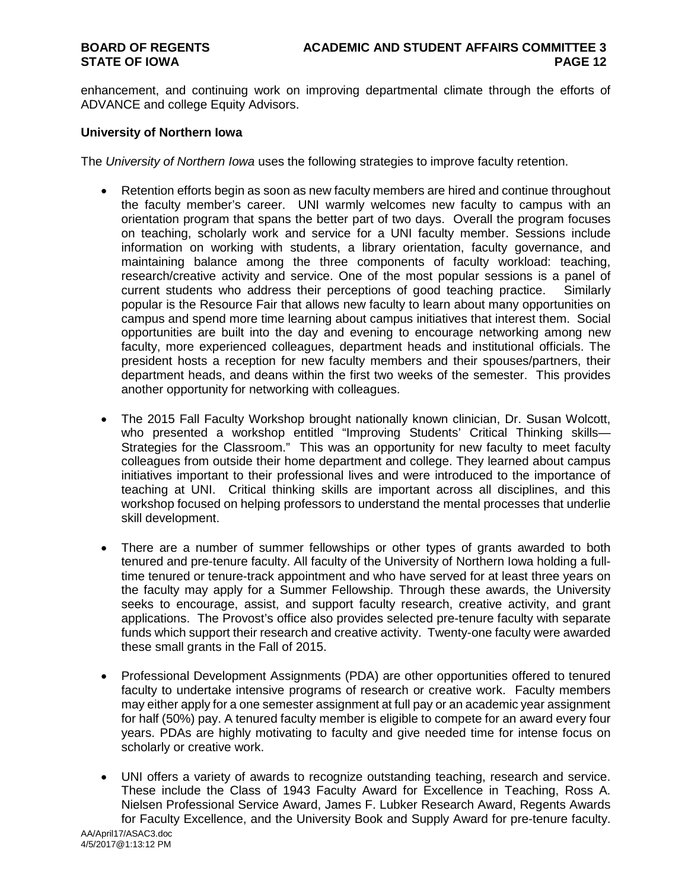enhancement, and continuing work on improving departmental climate through the efforts of ADVANCE and college Equity Advisors.

### **University of Northern Iowa**

The *University of Northern Iowa* uses the following strategies to improve faculty retention.

- Retention efforts begin as soon as new faculty members are hired and continue throughout the faculty member's career. UNI warmly welcomes new faculty to campus with an orientation program that spans the better part of two days. Overall the program focuses on teaching, scholarly work and service for a UNI faculty member. Sessions include information on working with students, a library orientation, faculty governance, and maintaining balance among the three components of faculty workload: teaching, research/creative activity and service. One of the most popular sessions is a panel of current students who address their perceptions of good teaching practice. Similarly current students who address their perceptions of good teaching practice. popular is the Resource Fair that allows new faculty to learn about many opportunities on campus and spend more time learning about campus initiatives that interest them. Social opportunities are built into the day and evening to encourage networking among new faculty, more experienced colleagues, department heads and institutional officials. The president hosts a reception for new faculty members and their spouses/partners, their department heads, and deans within the first two weeks of the semester. This provides another opportunity for networking with colleagues.
- The 2015 Fall Faculty Workshop brought nationally known clinician, Dr. Susan Wolcott, who presented a workshop entitled "Improving Students' Critical Thinking skills— Strategies for the Classroom." This was an opportunity for new faculty to meet faculty colleagues from outside their home department and college. They learned about campus initiatives important to their professional lives and were introduced to the importance of teaching at UNI. Critical thinking skills are important across all disciplines, and this workshop focused on helping professors to understand the mental processes that underlie skill development.
- There are a number of summer fellowships or other types of grants awarded to both tenured and pre-tenure faculty. All faculty of the University of Northern Iowa holding a fulltime tenured or tenure-track appointment and who have served for at least three years on the faculty may apply for a Summer Fellowship. Through these awards, the University seeks to encourage, assist, and support faculty research, creative activity, and grant applications. The Provost's office also provides selected pre-tenure faculty with separate funds which support their research and creative activity. Twenty-one faculty were awarded these small grants in the Fall of 2015.
- Professional Development Assignments (PDA) are other opportunities offered to tenured faculty to undertake intensive programs of research or creative work. Faculty members may either apply for a one semester assignment at full pay or an academic year assignment for half (50%) pay. A tenured faculty member is eligible to compete for an award every four years. PDAs are highly motivating to faculty and give needed time for intense focus on scholarly or creative work.
- UNI offers a variety of awards to recognize outstanding teaching, research and service. These include the Class of 1943 Faculty Award for Excellence in Teaching, Ross A. Nielsen Professional Service Award, James F. Lubker Research Award, Regents Awards for Faculty Excellence, and the University Book and Supply Award for pre-tenure faculty.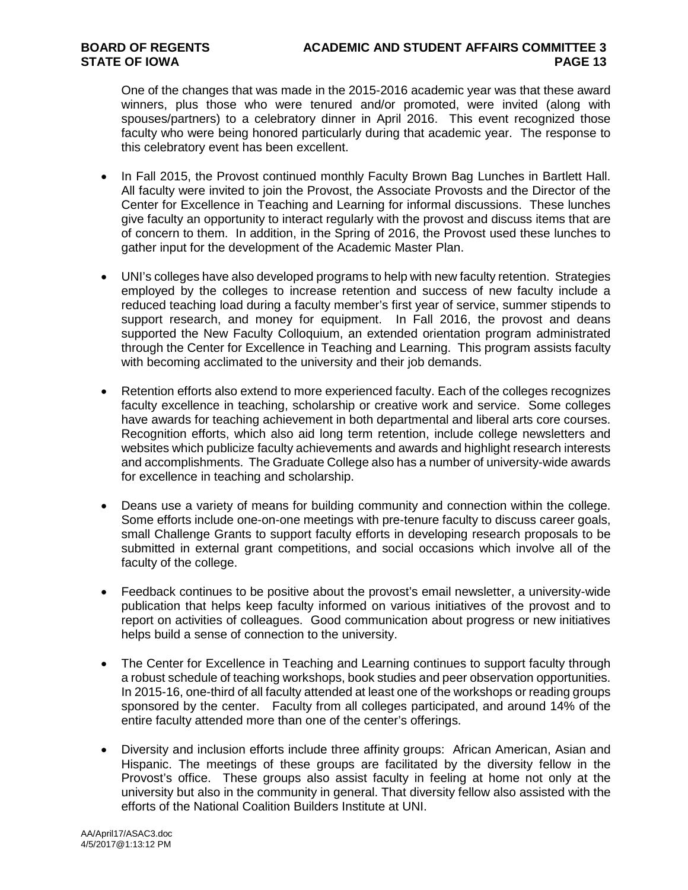One of the changes that was made in the 2015-2016 academic year was that these award winners, plus those who were tenured and/or promoted, were invited (along with spouses/partners) to a celebratory dinner in April 2016. This event recognized those faculty who were being honored particularly during that academic year. The response to this celebratory event has been excellent.

- In Fall 2015, the Provost continued monthly Faculty Brown Bag Lunches in Bartlett Hall. All faculty were invited to join the Provost, the Associate Provosts and the Director of the Center for Excellence in Teaching and Learning for informal discussions. These lunches give faculty an opportunity to interact regularly with the provost and discuss items that are of concern to them. In addition, in the Spring of 2016, the Provost used these lunches to gather input for the development of the Academic Master Plan.
- UNI's colleges have also developed programs to help with new faculty retention. Strategies employed by the colleges to increase retention and success of new faculty include a reduced teaching load during a faculty member's first year of service, summer stipends to support research, and money for equipment. In Fall 2016, the provost and deans supported the New Faculty Colloquium, an extended orientation program administrated through the Center for Excellence in Teaching and Learning. This program assists faculty with becoming acclimated to the university and their job demands.
- Retention efforts also extend to more experienced faculty. Each of the colleges recognizes faculty excellence in teaching, scholarship or creative work and service. Some colleges have awards for teaching achievement in both departmental and liberal arts core courses. Recognition efforts, which also aid long term retention, include college newsletters and websites which publicize faculty achievements and awards and highlight research interests and accomplishments. The Graduate College also has a number of university-wide awards for excellence in teaching and scholarship.
- Deans use a variety of means for building community and connection within the college. Some efforts include one-on-one meetings with pre-tenure faculty to discuss career goals, small Challenge Grants to support faculty efforts in developing research proposals to be submitted in external grant competitions, and social occasions which involve all of the faculty of the college.
- Feedback continues to be positive about the provost's email newsletter, a university-wide publication that helps keep faculty informed on various initiatives of the provost and to report on activities of colleagues. Good communication about progress or new initiatives helps build a sense of connection to the university.
- The Center for Excellence in Teaching and Learning continues to support faculty through a robust schedule of teaching workshops, book studies and peer observation opportunities. In 2015-16, one-third of all faculty attended at least one of the workshops or reading groups sponsored by the center. Faculty from all colleges participated, and around 14% of the entire faculty attended more than one of the center's offerings.
- Diversity and inclusion efforts include three affinity groups: African American, Asian and Hispanic. The meetings of these groups are facilitated by the diversity fellow in the Provost's office. These groups also assist faculty in feeling at home not only at the university but also in the community in general. That diversity fellow also assisted with the efforts of the National Coalition Builders Institute at UNI.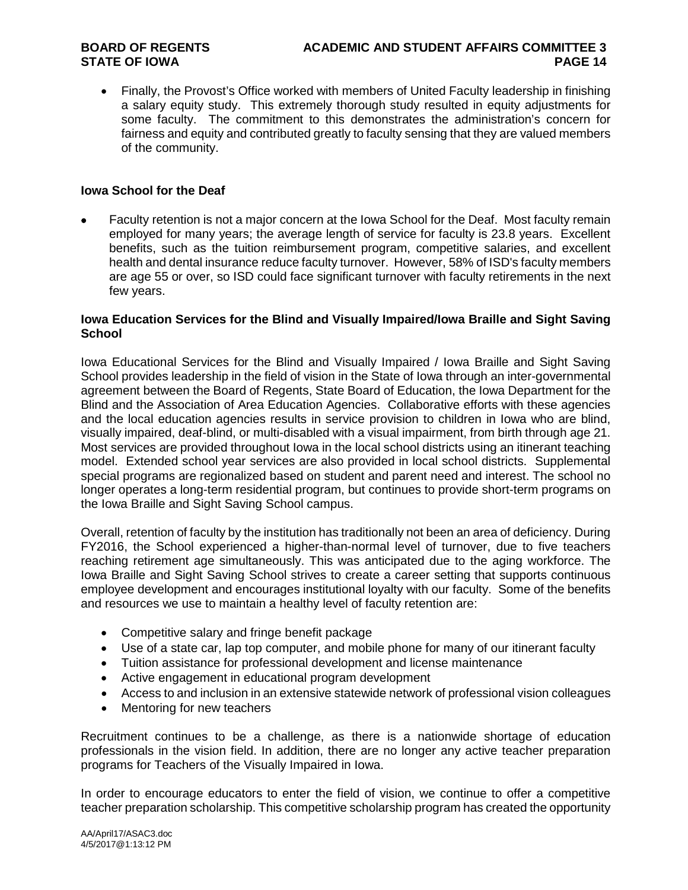• Finally, the Provost's Office worked with members of United Faculty leadership in finishing a salary equity study. This extremely thorough study resulted in equity adjustments for some faculty. The commitment to this demonstrates the administration's concern for fairness and equity and contributed greatly to faculty sensing that they are valued members of the community.

#### **Iowa School for the Deaf**

• Faculty retention is not a major concern at the Iowa School for the Deaf. Most faculty remain employed for many years; the average length of service for faculty is 23.8 years. Excellent benefits, such as the tuition reimbursement program, competitive salaries, and excellent health and dental insurance reduce faculty turnover. However, 58% of ISD's faculty members are age 55 or over, so ISD could face significant turnover with faculty retirements in the next few years.

#### **Iowa Education Services for the Blind and Visually Impaired/Iowa Braille and Sight Saving School**

Iowa Educational Services for the Blind and Visually Impaired / Iowa Braille and Sight Saving School provides leadership in the field of vision in the State of Iowa through an inter-governmental agreement between the Board of Regents, State Board of Education, the Iowa Department for the Blind and the Association of Area Education Agencies. Collaborative efforts with these agencies and the local education agencies results in service provision to children in Iowa who are blind, visually impaired, deaf-blind, or multi-disabled with a visual impairment, from birth through age 21. Most services are provided throughout Iowa in the local school districts using an itinerant teaching model. Extended school year services are also provided in local school districts. Supplemental special programs are regionalized based on student and parent need and interest. The school no longer operates a long-term residential program, but continues to provide short-term programs on the Iowa Braille and Sight Saving School campus.

Overall, retention of faculty by the institution has traditionally not been an area of deficiency. During FY2016, the School experienced a higher-than-normal level of turnover, due to five teachers reaching retirement age simultaneously. This was anticipated due to the aging workforce. The Iowa Braille and Sight Saving School strives to create a career setting that supports continuous employee development and encourages institutional loyalty with our faculty. Some of the benefits and resources we use to maintain a healthy level of faculty retention are:

- Competitive salary and fringe benefit package
- Use of a state car, lap top computer, and mobile phone for many of our itinerant faculty
- Tuition assistance for professional development and license maintenance
- Active engagement in educational program development
- Access to and inclusion in an extensive statewide network of professional vision colleagues
- Mentoring for new teachers

Recruitment continues to be a challenge, as there is a nationwide shortage of education professionals in the vision field. In addition, there are no longer any active teacher preparation programs for Teachers of the Visually Impaired in Iowa.

In order to encourage educators to enter the field of vision, we continue to offer a competitive teacher preparation scholarship. This competitive scholarship program has created the opportunity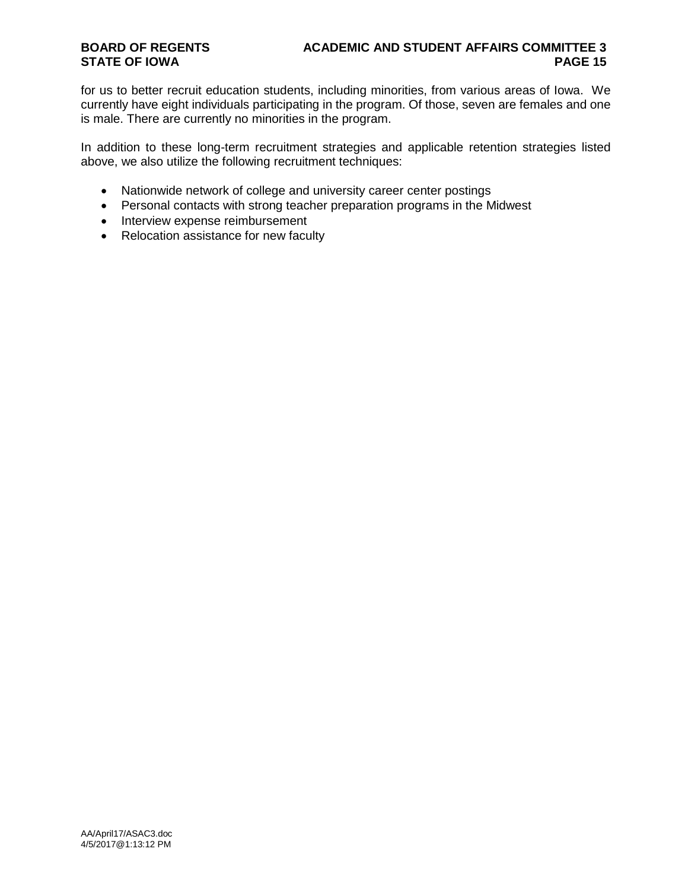for us to better recruit education students, including minorities, from various areas of Iowa. We currently have eight individuals participating in the program. Of those, seven are females and one is male. There are currently no minorities in the program.

In addition to these long-term recruitment strategies and applicable retention strategies listed above, we also utilize the following recruitment techniques:

- Nationwide network of college and university career center postings
- Personal contacts with strong teacher preparation programs in the Midwest
- Interview expense reimbursement
- Relocation assistance for new faculty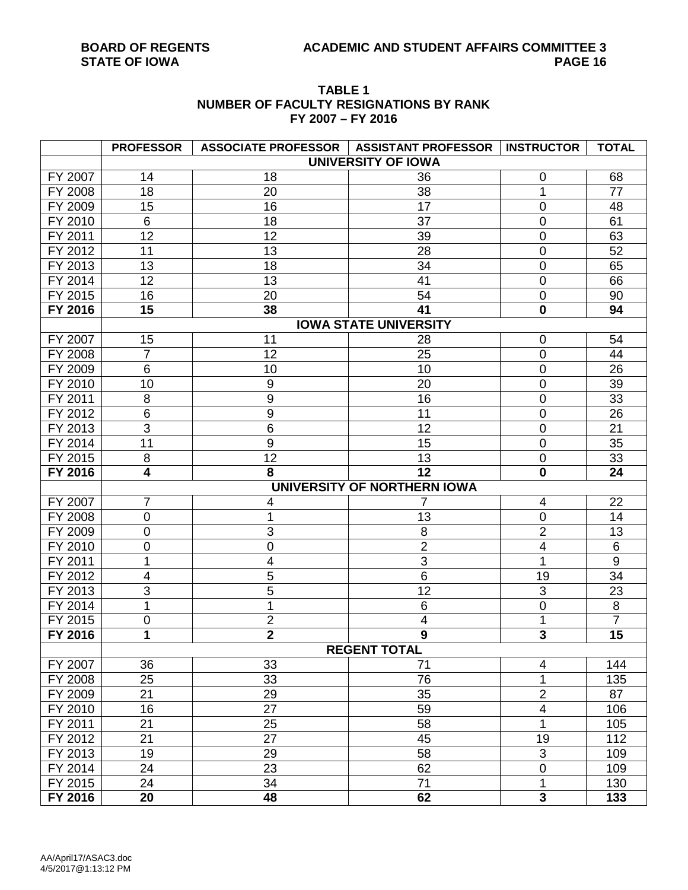# **TABLE 1 NUMBER OF FACULTY RESIGNATIONS BY RANK FY 2007 – FY 2016 PROFESSOR ASSOCIATE PROFESSOR ASSISTANT PROFESSOR INSTRUCTOR TOTAL**

|         | <b>PROFESSOR</b> |                  | ASSOCIATE PROFESSOR   ASSISTANT PROFESSOR   INSTRUCTOR |                          | <b>TOTAL</b>   |
|---------|------------------|------------------|--------------------------------------------------------|--------------------------|----------------|
|         |                  |                  | <b>UNIVERSITY OF IOWA</b>                              |                          |                |
| FY 2007 | 14               | 18               | 36                                                     | $\mathbf 0$              | 68             |
| FY 2008 | 18               | 20               | 38                                                     | 1                        | 77             |
| FY 2009 | 15               | 16               | 17                                                     | $\mathbf 0$              | 48             |
| FY 2010 | $6\phantom{1}$   | 18               | 37                                                     | $\mathbf 0$              | 61             |
| FY 2011 | 12               | 12               | 39                                                     | $\boldsymbol{0}$         | 63             |
| FY 2012 | 11               | 13               | 28                                                     | $\mathbf 0$              | 52             |
| FY 2013 | 13               | 18               | 34                                                     | $\mathbf 0$              | 65             |
| FY 2014 | 12               | 13               | 41                                                     | $\mathbf 0$              | 66             |
| FY 2015 | 16               | 20               | 54                                                     | $\boldsymbol{0}$         | 90             |
| FY 2016 | 15               | 38               | 41                                                     | $\bf{0}$                 | 94             |
|         |                  |                  | <b>IOWA STATE UNIVERSITY</b>                           |                          |                |
| FY 2007 | 15               | 11               | 28                                                     | $\mathbf 0$              | 54             |
| FY 2008 | $\overline{7}$   | 12               | 25                                                     | $\boldsymbol{0}$         | 44             |
| FY 2009 | $\,6$            | 10               | 10                                                     | $\boldsymbol{0}$         | 26             |
| FY 2010 | 10               | 9                | 20                                                     | $\boldsymbol{0}$         | 39             |
| FY 2011 | 8                | $\boldsymbol{9}$ | 16                                                     | $\overline{0}$           | 33             |
| FY 2012 | $6\phantom{1}6$  | $\boldsymbol{9}$ | 11                                                     | $\overline{0}$           | 26             |
| FY 2013 | 3                | $6\phantom{1}6$  | 12                                                     | $\mathbf 0$              | 21             |
| FY 2014 | 11               | $\overline{9}$   | 15                                                     | $\boldsymbol{0}$         | 35             |
| FY 2015 | 8                | 12               | 13                                                     | $\mathbf 0$              | 33             |
| FY 2016 | 4                | 8                | 12                                                     | $\mathbf 0$              | 24             |
|         |                  |                  | UNIVERSITY OF NORTHERN IOWA                            |                          |                |
| FY 2007 | $\overline{7}$   | 4                | 7                                                      | $\overline{\mathcal{A}}$ | 22             |
| FY 2008 | $\mathbf 0$      | 1                | 13                                                     | $\boldsymbol{0}$         | 14             |
| FY 2009 | $\mathbf 0$      | 3                | 8                                                      | $\overline{2}$           | 13             |
| FY 2010 | $\mathbf 0$      | $\boldsymbol{0}$ | $\overline{2}$                                         | $\overline{\mathbf{4}}$  | $\,6$          |
| FY 2011 | 1                | 4                | $\overline{3}$                                         | 1                        | $\overline{9}$ |
| FY 2012 | 4                | 5                | 6                                                      | 19                       | 34             |
| FY 2013 | $\overline{3}$   | 5                | $\overline{12}$                                        | $\overline{3}$           | 23             |
| FY 2014 | 1                | 1                | 6                                                      | $\boldsymbol{0}$         | 8              |
| FY 2015 | 0                | $\overline{2}$   | 4                                                      | 1                        | $\overline{7}$ |
| FY 2016 | 1                | $\overline{2}$   | 9                                                      | 3                        | 15             |
|         |                  |                  | <b>REGENT TOTAL</b>                                    |                          |                |
| FY 2007 | 36               | 33               | 71                                                     | $\overline{\mathbf{4}}$  | 144            |
| FY 2008 | 25               | 33               | 76                                                     | 1                        | 135            |
| FY 2009 | 21               | 29               | 35                                                     | $\mathbf 2$              | 87             |
| FY 2010 | 16               | 27               | 59                                                     | $\overline{\mathbf{4}}$  | 106            |
| FY 2011 | 21               | 25               | 58                                                     | $\mathbf 1$              | 105            |
| FY 2012 | 21               | 27               | 45                                                     | 19                       | 112            |
| FY 2013 | 19               | 29               | 58                                                     | 3                        | 109            |
| FY 2014 | 24               | 23               | 62                                                     | $\pmb{0}$                | 109            |
| FY 2015 | 24               | 34               | 71                                                     | 1                        | 130            |
| FY 2016 | 20               | 48               | 62                                                     | $\overline{\mathbf{3}}$  | 133            |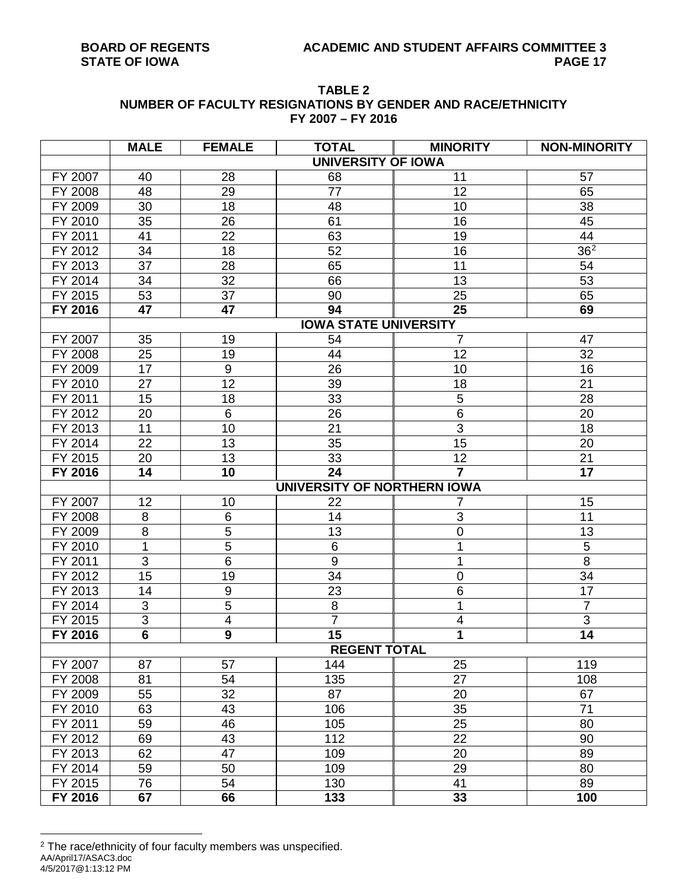| TABLE 2                                                     |
|-------------------------------------------------------------|
| NUMBER OF FACULTY RESIGNATIONS BY GENDER AND RACE/ETHNICITY |
| FY 2007 - FY 2016                                           |

|         | <b>MALE</b>                 | <b>FEMALE</b>    | <b>TOTAL</b>                 | <b>MINORITY</b>           | <b>NON-MINORITY</b> |  |  |  |  |  |  |  |
|---------|-----------------------------|------------------|------------------------------|---------------------------|---------------------|--|--|--|--|--|--|--|
|         |                             |                  | <b>UNIVERSITY OF IOWA</b>    |                           |                     |  |  |  |  |  |  |  |
| FY 2007 | 40                          | 28               | 68                           | 11                        | 57                  |  |  |  |  |  |  |  |
| FY 2008 | 48                          | 29               | 77                           | 12                        | 65                  |  |  |  |  |  |  |  |
| FY 2009 | 30                          | 18               | 48                           | 10                        | 38                  |  |  |  |  |  |  |  |
| FY 2010 | 35                          | 26               | 61                           | 16                        | 45                  |  |  |  |  |  |  |  |
| FY 2011 | 41                          | 22               | 63                           | 19                        | 44                  |  |  |  |  |  |  |  |
| FY 2012 | 34                          | 18               | 52                           | 16                        | 36 <sup>2</sup>     |  |  |  |  |  |  |  |
| FY 2013 | 37                          | 28               | 65                           | 11                        | 54                  |  |  |  |  |  |  |  |
| FY 2014 | 34                          | 32               | 66                           | 13                        | 53                  |  |  |  |  |  |  |  |
| FY 2015 | 53                          | 37               | 90                           | 25                        | 65                  |  |  |  |  |  |  |  |
| FY 2016 | 47                          | 47               | 94                           | 25                        | 69                  |  |  |  |  |  |  |  |
|         |                             |                  | <b>IOWA STATE UNIVERSITY</b> |                           |                     |  |  |  |  |  |  |  |
| FY 2007 | 35                          | 19               | 54                           | $\overline{7}$            | 47                  |  |  |  |  |  |  |  |
| FY 2008 | 25                          | 19               | 44                           | 12                        | 32                  |  |  |  |  |  |  |  |
| FY 2009 | 17                          | $9\,$            | 26                           | 10                        | 16                  |  |  |  |  |  |  |  |
| FY 2010 | 27                          | 12               | 39                           | 18                        | 21                  |  |  |  |  |  |  |  |
| FY 2011 | 15                          | 18               | 33                           | 5                         | 28                  |  |  |  |  |  |  |  |
| FY 2012 | 20                          | 6                | 26                           | $6\phantom{1}6$           | 20                  |  |  |  |  |  |  |  |
| FY 2013 | 11                          | 10               | 21                           | $\overline{3}$            | 18                  |  |  |  |  |  |  |  |
| FY 2014 | 22                          | 13               | 35                           | 15                        | 20                  |  |  |  |  |  |  |  |
| FY 2015 | 20                          | 13               | 33                           | 12                        | 21                  |  |  |  |  |  |  |  |
| FY 2016 | 14                          | 10               | 24                           | $\overline{7}$            | 17                  |  |  |  |  |  |  |  |
|         | UNIVERSITY OF NORTHERN IOWA |                  |                              |                           |                     |  |  |  |  |  |  |  |
| FY 2007 | 12                          | 10               | 22                           | 7                         | 15                  |  |  |  |  |  |  |  |
| FY 2008 | 8                           | 6                | 14                           | $\ensuremath{\mathsf{3}}$ | 11                  |  |  |  |  |  |  |  |
| FY 2009 | 8                           | 5                | 13                           | 0                         | 13                  |  |  |  |  |  |  |  |
| FY 2010 | 1                           | $\overline{5}$   | $\,6$                        | 1                         | 5                   |  |  |  |  |  |  |  |
| FY 2011 | $\overline{3}$              | $\overline{6}$   | $\overline{9}$               | 1                         | $\overline{8}$      |  |  |  |  |  |  |  |
| FY 2012 | 15                          | 19               | 34                           | 0                         | 34                  |  |  |  |  |  |  |  |
| FY 2013 | 14                          | $\boldsymbol{9}$ | 23                           | 6                         | $\overline{17}$     |  |  |  |  |  |  |  |
| FY 2014 | 3                           | 5                | $\,8\,$                      | 1                         | $\overline{7}$      |  |  |  |  |  |  |  |
| FY 2015 | $\ensuremath{\mathsf{3}}$   | $\overline{4}$   | $\overline{7}$               | $\overline{4}$            | $\overline{3}$      |  |  |  |  |  |  |  |
| FY 2016 | $\overline{6}$              | $\overline{9}$   | 15                           | 1                         | 14                  |  |  |  |  |  |  |  |
|         |                             |                  | <b>REGENT TOTAL</b>          |                           |                     |  |  |  |  |  |  |  |
| FY 2007 | 87                          | 57               | 144                          | 25                        | 119                 |  |  |  |  |  |  |  |
| FY 2008 | 81                          | 54               | 135                          | $\overline{27}$           | 108                 |  |  |  |  |  |  |  |
| FY 2009 | 55                          | 32               | 87                           | 20                        | 67                  |  |  |  |  |  |  |  |
| FY 2010 | 63                          | 43               | 106                          | 35                        | 71                  |  |  |  |  |  |  |  |
| FY 2011 | 59                          | 46               | 105                          | 25                        | 80                  |  |  |  |  |  |  |  |
| FY 2012 | 69                          | 43               | 112                          | 22                        | 90                  |  |  |  |  |  |  |  |
| FY 2013 | 62                          | 47               | 109                          | 20                        | 89                  |  |  |  |  |  |  |  |
| FY 2014 | 59                          | 50               | 109                          | 29                        | 80                  |  |  |  |  |  |  |  |
| FY 2015 | 76                          | 54               | 130                          | 41                        | 89                  |  |  |  |  |  |  |  |
| FY 2016 | 67                          | 66               | 133                          | 33                        | 100                 |  |  |  |  |  |  |  |

<span id="page-16-0"></span>AA/April17/ASAC3.doc 4/5/2017@1:13:12 PM 2 The race/ethnicity of four faculty members was unspecified.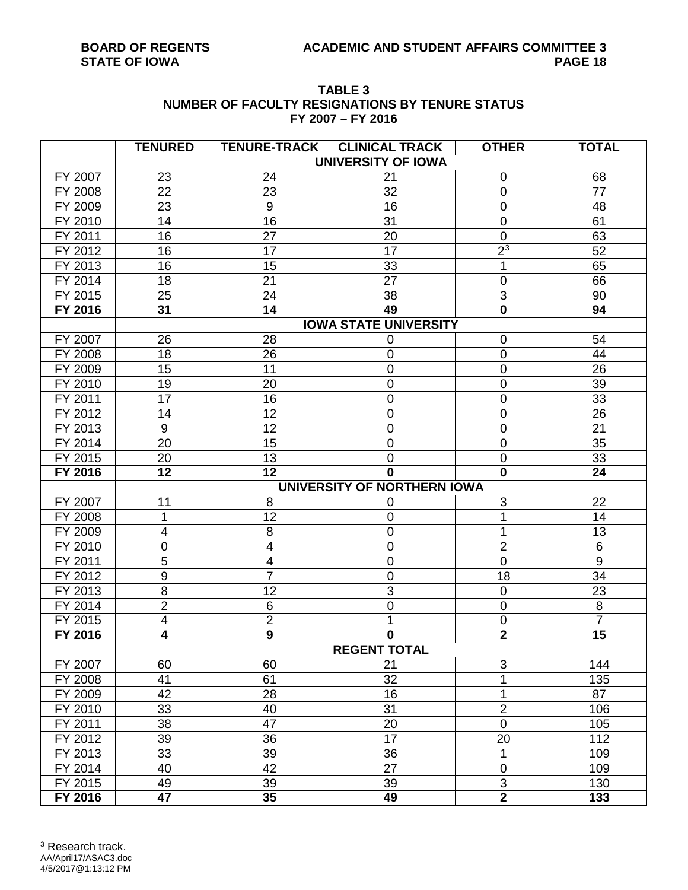#### **TABLE 3 NUMBER OF FACULTY RESIGNATIONS BY TENURE STATUS FY 2007 – FY 2016**

<span id="page-17-0"></span>

|         | <b>TENURED</b>   | <b>TENURE-TRACK</b>     | <b>CLINICAL TRACK</b>        | <b>OTHER</b>   | <b>TOTAL</b>    |
|---------|------------------|-------------------------|------------------------------|----------------|-----------------|
|         |                  |                         | <b>UNIVERSITY OF IOWA</b>    |                |                 |
| FY 2007 | 23               | 24                      | 21                           | $\mathbf 0$    | 68              |
| FY 2008 | 22               | 23                      | 32                           | $\pmb{0}$      | 77              |
| FY 2009 | 23               | $\boldsymbol{9}$        | 16                           | $\mathbf 0$    | 48              |
| FY 2010 | 14               | 16                      | 31                           | $\mathbf 0$    | 61              |
| FY 2011 | 16               | 27                      | 20                           | $\mathbf 0$    | 63              |
| FY 2012 | 16               | 17                      | 17                           | 2 <sup>3</sup> | 52              |
| FY 2013 | 16               | 15                      | 33                           | 1              | 65              |
| FY 2014 | 18               | 21                      | 27                           | $\mathbf 0$    | 66              |
| FY 2015 | 25               | 24                      | 38                           | $\mathsf 3$    | 90              |
| FY 2016 | 31               | 14                      | 49                           | $\mathbf 0$    | 94              |
|         |                  |                         | <b>IOWA STATE UNIVERSITY</b> |                |                 |
| FY 2007 | 26               | 28                      | 0                            | $\mathbf 0$    | 54              |
| FY 2008 | 18               | 26                      | 0                            | $\mathbf 0$    | 44              |
| FY 2009 | 15               | 11                      | 0                            | $\mathbf 0$    | 26              |
| FY 2010 | 19               | 20                      | 0                            | $\mathbf 0$    | 39              |
| FY 2011 | 17               | 16                      | 0                            | 0              | 33              |
| FY 2012 | 14               | 12                      | 0                            | $\mathbf 0$    | 26              |
| FY 2013 | $\boldsymbol{9}$ | 12                      | 0                            | $\mathbf 0$    | $\overline{21}$ |
| FY 2014 | 20               | 15                      | 0                            | $\mathbf 0$    | 35              |
| FY 2015 | 20               | 13                      | 0                            | $\pmb{0}$      | 33              |
| FY 2016 | 12               | 12                      | $\mathbf{0}$                 | $\mathbf 0$    | 24              |
|         |                  |                         | UNIVERSITY OF NORTHERN IOWA  |                |                 |
| FY 2007 | 11               | 8                       | 0                            | 3              | 22              |
| FY 2008 | 1                | 12                      | 0                            |                | 14              |
| FY 2009 | 4                | 8                       | 0                            |                | 13              |
| FY 2010 | 0                | $\overline{\mathbf{4}}$ | 0                            | $\overline{2}$ | $\,6$           |
| FY 2011 | 5                | $\overline{\mathbf{4}}$ | 0                            | $\overline{0}$ | $\overline{9}$  |
| FY 2012 | 9                | $\overline{7}$          | 0                            | 18             | 34              |
| FY 2013 | $\overline{8}$   | 12                      | $\overline{3}$               | $\pmb{0}$      | 23              |
| FY 2014 | $\overline{2}$   | 6                       | 0                            | $\mathbf 0$    | $\bf 8$         |
| FY 2015 | 4                | $\overline{2}$          | 1                            | $\pmb{0}$      | $\overline{7}$  |
| FY 2016 | 4                | $\overline{9}$          | 0                            | $\overline{2}$ | 15              |
|         |                  |                         | <b>REGENT TOTAL</b>          |                |                 |
| FY 2007 | 60               | 60                      | 21                           | 3              | 144             |
| FY 2008 | 41               | 61                      | 32                           | 1              | 135             |
| FY 2009 | 42               | 28                      | 16                           | 1              | 87              |
| FY 2010 | 33               | 40                      | 31                           | $\overline{2}$ | 106             |
| FY 2011 | 38               | 47                      | 20                           | $\mathbf 0$    | 105             |
| FY 2012 | 39               | 36                      | 17                           | 20             | 112             |
| FY 2013 | 33               | 39                      | 36                           | 1              | 109             |
| FY 2014 | 40               | 42                      | 27                           | $\pmb{0}$      | 109             |
| FY 2015 | 49               | 39                      | 39                           | $\overline{3}$ | 130             |
| FY 2016 | 47               | 35                      | 49                           | $\overline{2}$ | 133             |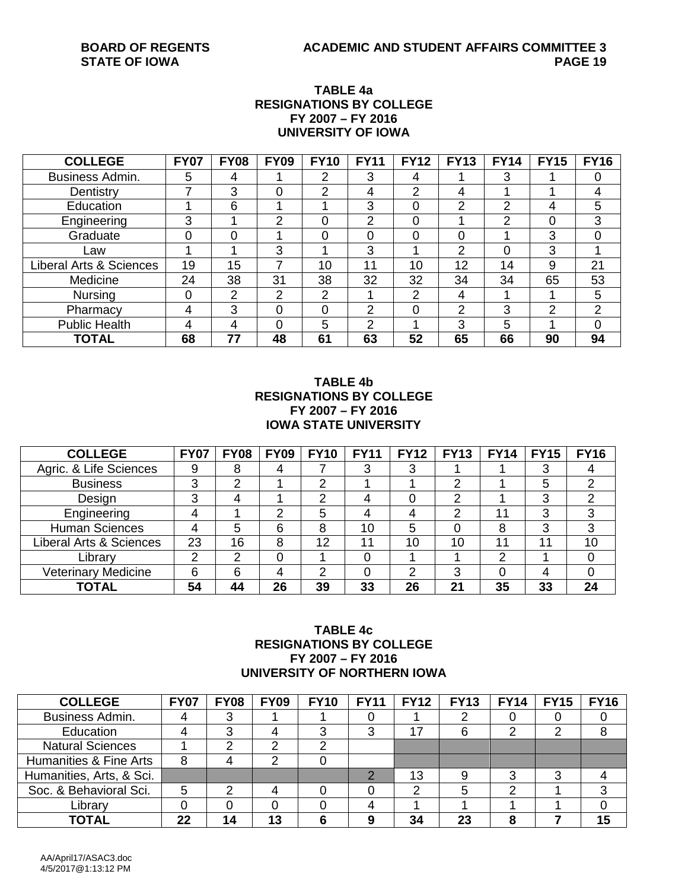### **TABLE 4a RESIGNATIONS BY COLLEGE FY 2007 – FY 2016 UNIVERSITY OF IOWA**

| <b>COLLEGE</b>                     | <b>FY07</b> | <b>FY08</b>    | <b>FY09</b>    | <b>FY10</b> | <b>FY11</b> | <b>FY12</b> | <b>FY13</b>    | <b>FY14</b> | <b>FY15</b> | <b>FY16</b> |
|------------------------------------|-------------|----------------|----------------|-------------|-------------|-------------|----------------|-------------|-------------|-------------|
| Business Admin.                    | 5           | 4              |                | 2           | 3           | 4           |                | 3           |             | 0           |
| Dentistry                          | 7           | 3              | 0              | 2           | 4           | 2           | 4              |             |             | 4           |
| Education                          |             | 6              |                |             | 3           | 0           | っ              | 2           | 4           | 5           |
| Engineering                        | 3           |                | 2              | 0           | 2           |             |                | 2           | 0           | 3           |
| Graduate                           | 0           | $\Omega$       |                | 0           | 0           | 0           | 0              |             | 3           | 0           |
| Law                                |             |                | 3              |             | 3           |             | າ              | 0           | 3           | 4           |
| <b>Liberal Arts &amp; Sciences</b> | 19          | 15             |                | 10          | 11          | 10          | 12             | 14          | 9           | 21          |
| Medicine                           | 24          | 38             | 31             | 38          | 32          | 32          | 34             | 34          | 65          | 53          |
| <b>Nursing</b>                     | 0           | $\overline{2}$ | $\overline{2}$ | 2           |             | っ           | 4              |             |             | 5           |
| Pharmacy                           | 4           | 3              | 0              | 0           | 2           |             | $\overline{2}$ | 3           | 2           | 2           |
| <b>Public Health</b>               | 4           | 4              | 0              | 5           | っ           |             | 3              | 5           |             | $\Omega$    |
| <b>TOTAL</b>                       | 68          | 77             | 48             | 61          | 63          | 52          | 65             | 66          | 90          | 94          |

#### **TABLE 4b RESIGNATIONS BY COLLEGE FY 2007 – FY 2016 IOWA STATE UNIVERSITY**

| <b>COLLEGE</b>                     | <b>FY07</b> | <b>FY08</b> | <b>FY09</b> | <b>FY10</b> | <b>FY11</b> | FY12 | <b>FY13</b>    | <b>FY14</b> | <b>FY15</b> | <b>FY16</b> |
|------------------------------------|-------------|-------------|-------------|-------------|-------------|------|----------------|-------------|-------------|-------------|
| Agric. & Life Sciences             | 9           | 8           | 4           |             | 3           |      |                |             | 3           |             |
| <b>Business</b>                    | 3           | ⌒           |             | ⌒           |             |      | ◠              |             | 5           | っ           |
| Design                             | 3           |             |             | ◠           |             |      | ⌒              |             | 3           | າ           |
| Engineering                        | 4           |             | າ           | 5           | 4           |      | ◠              | 11          | 3           | 3           |
| <b>Human Sciences</b>              | 4           | 5           | 6           | 8           | 10          | 5    |                | 8           | 3           | 3           |
| <b>Liberal Arts &amp; Sciences</b> | 23          | 16          | 8           | 12          | 11          | 10   | 10             | 11          | 1           | 10          |
| Library                            | ◠           | າ           | 0           |             | 0           |      |                | າ           |             | 0           |
| <b>Veterinary Medicine</b>         | 6           | 6           | 4           | ົ           |             | റ    | っ              |             | 4           |             |
| TOTAL                              | 54          | 44          | 26          | 39          | 33          | 26   | 2 <sup>1</sup> | 35          | 33          | 24          |

#### **TABLE 4c RESIGNATIONS BY COLLEGE FY 2007 – FY 2016 UNIVERSITY OF NORTHERN IOWA**

| <b>COLLEGE</b>           | <b>FY07</b> | <b>FY08</b> | <b>FY09</b> | <b>FY10</b> | <b>FY11</b> | <b>FY12</b> 1 | <b>FY13</b> | <b>FY14</b> | <b>FY15</b> | <b>FY16</b> |
|--------------------------|-------------|-------------|-------------|-------------|-------------|---------------|-------------|-------------|-------------|-------------|
| Business Admin.          |             | 3           |             |             |             |               |             |             |             |             |
| Education                |             | 3           |             |             | ◠           | 17            |             | ◠           | ⌒           |             |
| <b>Natural Sciences</b>  |             |             |             |             |             |               |             |             |             |             |
| Humanities & Fine Arts   | 8           |             | ⌒           |             |             |               |             |             |             |             |
| Humanities, Arts, & Sci. |             |             |             |             |             | 13            |             | ົ           | ≏           |             |
| Soc. & Behavioral Sci.   | 5           |             |             |             |             |               |             |             |             |             |
| Library                  |             |             |             |             |             |               |             |             |             |             |
| <b>TOTAL</b>             | 22          | 14          | 13          |             |             | 34            | 23          |             |             | 15          |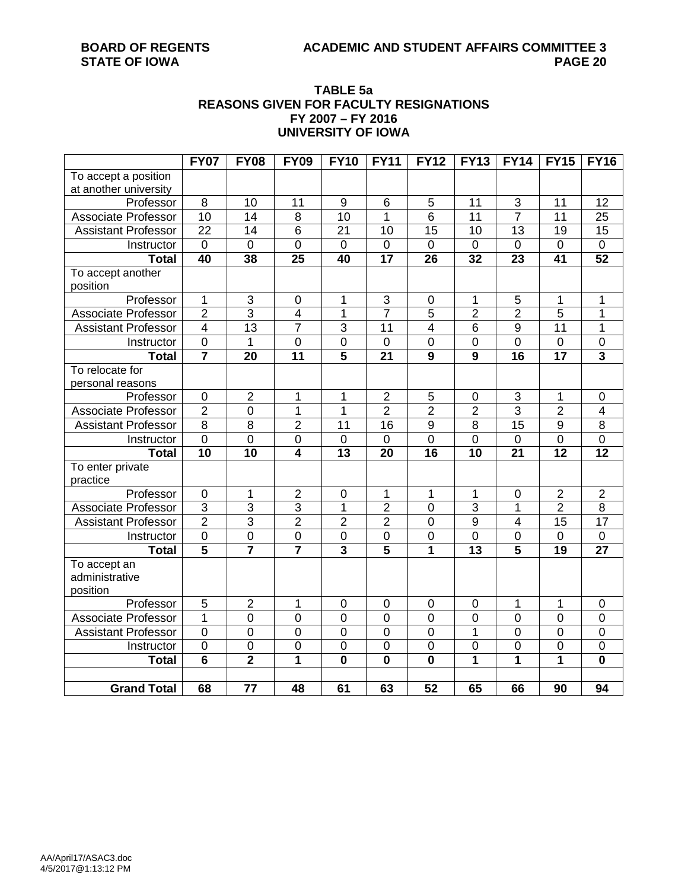### **TABLE 5a REASONS GIVEN FOR FACULTY RESIGNATIONS FY 2007 – FY 2016 UNIVERSITY OF IOWA**

|                            | <b>FY07</b>             | <b>FY08</b>     | <b>FY09</b>         | <b>FY10</b>             | <b>FY11</b>               | <b>FY12</b>             | <b>FY13</b>             | <b>FY14</b>             | <b>FY15</b>     | <b>FY16</b>             |
|----------------------------|-------------------------|-----------------|---------------------|-------------------------|---------------------------|-------------------------|-------------------------|-------------------------|-----------------|-------------------------|
| To accept a position       |                         |                 |                     |                         |                           |                         |                         |                         |                 |                         |
| at another university      |                         |                 |                     |                         |                           |                         |                         |                         |                 |                         |
| Professor                  | 8                       | 10              | 11                  | $\boldsymbol{9}$        | 6                         | 5                       | 11                      | 3                       | 11              | 12                      |
| <b>Associate Professor</b> | $\overline{10}$         | 14              | $\overline{8}$      | $\overline{10}$         | 1                         | $\overline{6}$          | $\overline{11}$         | $\overline{7}$          | $\overline{11}$ | $\overline{25}$         |
| <b>Assistant Professor</b> | $\overline{22}$         | 14              | 6                   | $\overline{21}$         | 10                        | 15                      | 10                      | 13                      | 19              | $\overline{15}$         |
| Instructor                 | $\overline{0}$          | 0               | $\overline{0}$      | $\overline{0}$          | $\mathbf 0$               | $\mathbf 0$             | $\overline{0}$          | $\mathbf 0$             | 0               | $\pmb{0}$               |
| <b>Total</b>               | 40                      | 38              | 25                  | 40                      | 17                        | 26                      | 32                      | 23                      | 41              | 52                      |
| To accept another          |                         |                 |                     |                         |                           |                         |                         |                         |                 |                         |
| position                   |                         |                 |                     |                         |                           |                         |                         |                         |                 |                         |
| Professor                  | 1                       | $\sqrt{3}$      | $\pmb{0}$           | 1                       | $\ensuremath{\mathsf{3}}$ | $\boldsymbol{0}$        | 1                       | 5                       | 1               | 1                       |
| <b>Associate Professor</b> | $\overline{2}$          | $\overline{3}$  | $\overline{4}$      | $\mathbf 1$             | $\overline{7}$            | $\overline{5}$          | $\overline{2}$          | $\overline{2}$          | 5               | 1                       |
| <b>Assistant Professor</b> | $\overline{4}$          | $\overline{13}$ | $\overline{7}$      | $\overline{3}$          | $\overline{11}$           | $\overline{4}$          | $\overline{6}$          | 9                       | 11              | 1                       |
| Instructor                 | $\overline{0}$          | 1               | $\overline{0}$      | $\overline{0}$          | $\mathbf 0$               | $\overline{0}$          | $\mathbf 0$             | $\overline{0}$          | 0               | $\mathbf 0$             |
| <b>Total</b>               | $\overline{\mathbf{7}}$ | $\overline{20}$ | $\overline{11}$     | 5                       | $\overline{21}$           | $\overline{9}$          | $\overline{9}$          | $\overline{16}$         | $\overline{17}$ | $\overline{\mathbf{3}}$ |
| To relocate for            |                         |                 |                     |                         |                           |                         |                         |                         |                 |                         |
| personal reasons           |                         |                 |                     |                         |                           |                         |                         |                         |                 |                         |
| Professor                  | $\mathbf 0$             | $\overline{2}$  | 1                   | 1                       | $\overline{c}$            | 5                       | $\mathbf 0$             | 3                       | 1               | $\mathbf 0$             |
| <b>Associate Professor</b> | $\overline{2}$          | $\pmb{0}$       | $\mathbf 1$         | 1                       | $\overline{2}$            | $\overline{2}$          | $\overline{2}$          | 3                       | $\overline{2}$  | 4                       |
| <b>Assistant Professor</b> | $\overline{8}$          | 8               | $\overline{2}$      | 11                      | 16                        | $\overline{9}$          | 8                       | $\overline{15}$         | 9               | $\overline{8}$          |
| Instructor                 | $\mathbf 0$             | $\pmb{0}$       | $\boldsymbol{0}$    | $\mathbf 0$             | $\pmb{0}$                 | $\mathbf 0$             | $\mathbf 0$             | $\mathbf 0$             | 0               | $\overline{0}$          |
| <b>Total</b>               | 10                      | 10              | $\overline{\bf{4}}$ | $\overline{13}$         | $\overline{20}$           | $\overline{16}$         | 10                      | $\overline{21}$         | $\overline{12}$ | $\overline{12}$         |
| To enter private           |                         |                 |                     |                         |                           |                         |                         |                         |                 |                         |
| practice                   |                         |                 |                     |                         |                           |                         |                         |                         |                 |                         |
| Professor                  | $\overline{0}$          | 1               | $\overline{2}$      | $\overline{0}$          | 1                         | 1                       | $\overline{1}$          | $\mathbf 0$             | $\overline{2}$  | $\overline{2}$          |
| <b>Associate Professor</b> | $\overline{3}$          | $\overline{3}$  | $\overline{3}$      | $\overline{1}$          | $\overline{2}$            | $\overline{0}$          | $\overline{3}$          | 1                       | $\overline{2}$  | $\overline{8}$          |
| <b>Assistant Professor</b> | $\overline{2}$          | $\overline{3}$  | $\overline{2}$      | $\overline{2}$          | $\overline{2}$            | $\overline{0}$          | $\overline{9}$          | $\overline{\mathbf{4}}$ | $\overline{15}$ | $\overline{17}$         |
| Instructor                 | $\overline{0}$          | $\overline{0}$  | $\overline{0}$      | $\overline{0}$          | $\overline{0}$            | $\overline{0}$          | $\overline{0}$          | $\overline{0}$          | $\mathbf 0$     | $\overline{0}$          |
| <b>Total</b>               | $\overline{\mathbf{5}}$ | $\overline{7}$  | $\overline{7}$      | $\overline{\mathbf{3}}$ | 5                         | 1                       | 13                      | 5                       | 19              | 27                      |
| To accept an               |                         |                 |                     |                         |                           |                         |                         |                         |                 |                         |
| administrative             |                         |                 |                     |                         |                           |                         |                         |                         |                 |                         |
| position                   |                         |                 |                     |                         |                           |                         |                         |                         |                 |                         |
| Professor                  | 5                       | $\overline{2}$  | 1                   | $\mathbf 0$             | $\pmb{0}$                 | $\mathbf 0$             | $\mathbf 0$             | 1                       | 1               | $\mathbf 0$             |
| <b>Associate Professor</b> | $\overline{1}$          | $\overline{0}$  | $\overline{0}$      | $\overline{0}$          | $\overline{0}$            | $\overline{0}$          | $\overline{0}$          | $\overline{0}$          | $\overline{0}$  | $\overline{0}$          |
| <b>Assistant Professor</b> | $\overline{0}$          | $\overline{0}$  | $\overline{0}$      | $\overline{0}$          | $\overline{0}$            | $\overline{0}$          | 1                       | $\overline{0}$          | $\mathbf 0$     | $\overline{0}$          |
| Instructor                 | $\overline{0}$          | $\overline{0}$  | $\overline{0}$      | $\overline{0}$          | $\overline{0}$            | $\overline{0}$          | $\overline{0}$          | $\overline{0}$          | $\mathbf 0$     | $\overline{0}$          |
| <b>Total</b>               | $\overline{\mathbf{6}}$ | $\overline{2}$  | $\overline{1}$      | $\mathbf 0$             | $\overline{\mathbf{0}}$   | $\overline{\mathbf{0}}$ | $\overline{\mathbf{1}}$ | $\overline{1}$          | 1               | $\mathbf 0$             |
|                            |                         |                 |                     |                         |                           |                         |                         |                         |                 |                         |
| <b>Grand Total</b>         | 68                      | 77              | 48                  | 61                      | 63                        | 52                      | 65                      | 66                      | 90              | 94                      |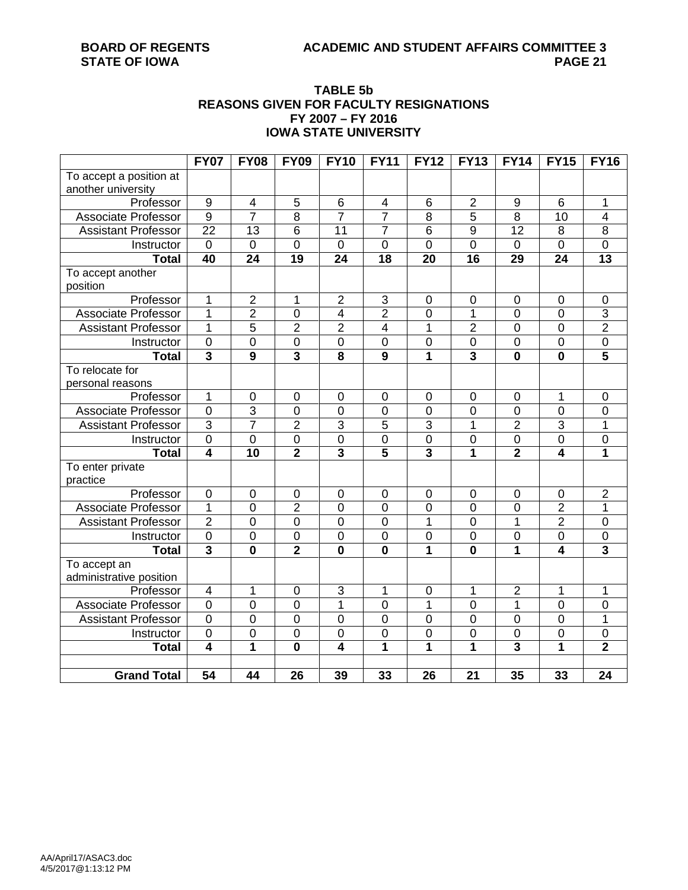# **TABLE 5b REASONS GIVEN FOR FACULTY RESIGNATIONS FY 2007 – FY 2016 IOWA STATE UNIVERSITY**

|                            | <b>FY07</b>             | <b>FY08</b>             | <b>FY09</b>             | <b>FY10</b>             | <b>FY11</b>             | <b>FY12</b>             | <b>FY13</b>             | <b>FY14</b>             | <b>FY15</b>      | <b>FY16</b>             |
|----------------------------|-------------------------|-------------------------|-------------------------|-------------------------|-------------------------|-------------------------|-------------------------|-------------------------|------------------|-------------------------|
| To accept a position at    |                         |                         |                         |                         |                         |                         |                         |                         |                  |                         |
| another university         |                         |                         |                         |                         |                         |                         |                         |                         |                  |                         |
| Professor                  | $\overline{9}$          | $\overline{\mathbf{4}}$ | 5                       | 6                       | $\overline{\mathbf{4}}$ | $\,6$                   | $\overline{2}$          | $\boldsymbol{9}$        | $6\phantom{1}$   | 1                       |
| <b>Associate Professor</b> | $\overline{9}$          | $\overline{7}$          | $\overline{8}$          | $\overline{7}$          | $\overline{7}$          | $\overline{8}$          | $\overline{5}$          | $\overline{8}$          | 10               | 4                       |
| <b>Assistant Professor</b> | $\overline{22}$         | $\overline{13}$         | $\overline{6}$          | $\overline{11}$         | $\overline{7}$          | $\overline{6}$          | $\overline{9}$          | $\overline{12}$         | 8                | $\overline{8}$          |
| Instructor                 | $\mathbf 0$             | $\mathbf 0$             | $\overline{0}$          | $\mathbf 0$             | $\mathbf 0$             | $\overline{0}$          | $\overline{0}$          | $\mathbf 0$             | $\mathbf 0$      | $\overline{0}$          |
| <b>Total</b>               | 40                      | 24                      | $\overline{19}$         | $\overline{24}$         | $\overline{18}$         | 20                      | 16                      | 29                      | 24               | $\overline{13}$         |
| To accept another          |                         |                         |                         |                         |                         |                         |                         |                         |                  |                         |
| position                   |                         |                         |                         |                         |                         |                         |                         |                         |                  |                         |
| Professor                  | 1                       | $\overline{2}$          | 1                       | $\overline{2}$          | 3                       | $\boldsymbol{0}$        | $\mathbf 0$             | $\pmb{0}$               | $\pmb{0}$        | $\pmb{0}$               |
| Associate Professor        | 1                       | $\overline{2}$          | 0                       | $\overline{4}$          | $\overline{2}$          | $\overline{0}$          | $\overline{1}$          | $\mathbf 0$             | $\overline{0}$   | $\overline{3}$          |
| <b>Assistant Professor</b> | 1                       | 5                       | $\overline{2}$          | $\overline{2}$          | $\overline{\mathbf{4}}$ | 1                       | $\overline{2}$          | 0                       | $\boldsymbol{0}$ | $\overline{2}$          |
| Instructor                 | $\overline{0}$          | $\overline{0}$          | $\overline{0}$          | $\overline{0}$          | $\overline{0}$          | $\overline{0}$          | $\overline{0}$          | $\mathbf 0$             | $\boldsymbol{0}$ | $\overline{0}$          |
| <b>Total</b>               | $\overline{\mathbf{3}}$ | $\overline{9}$          | $\overline{\mathbf{3}}$ | $\overline{\mathbf{8}}$ | $\overline{9}$          | 1                       | $\overline{\mathbf{3}}$ | $\mathbf 0$             | $\bf{0}$         | $\overline{5}$          |
| To relocate for            |                         |                         |                         |                         |                         |                         |                         |                         |                  |                         |
| personal reasons           |                         |                         |                         |                         |                         |                         |                         |                         |                  |                         |
| Professor                  | 1                       | $\mathbf 0$             | $\pmb{0}$               | $\pmb{0}$               | $\mathbf 0$             | $\mathbf 0$             | $\mathbf 0$             | $\boldsymbol{0}$        | 1                | $\mathbf 0$             |
| <b>Associate Professor</b> | $\mathbf 0$             | $\overline{3}$          | $\mathbf 0$             | $\mathbf 0$             | $\mathbf 0$             | $\mathbf 0$             | $\mathbf 0$             | $\mathbf 0$             | $\mathbf 0$      | $\mathbf 0$             |
| <b>Assistant Professor</b> | $\overline{3}$          | 7                       | $\overline{2}$          | $\overline{3}$          | $\overline{5}$          | $\overline{3}$          | 1                       | $\overline{2}$          | 3                | 1                       |
| Instructor                 | $\pmb{0}$               | $\overline{0}$          | $\overline{0}$          | $\overline{0}$          | $\pmb{0}$               | $\boldsymbol{0}$        | $\mathbf 0$             | $\mathbf 0$             | $\pmb{0}$        | $\mathsf 0$             |
| <b>Total</b>               | $\overline{4}$          | $\overline{10}$         | $\overline{\mathbf{2}}$ | $\overline{\mathbf{3}}$ | $\overline{5}$          | $\overline{\mathbf{3}}$ | $\overline{1}$          | $\overline{2}$          | 4                | $\overline{\mathbf{1}}$ |
| To enter private           |                         |                         |                         |                         |                         |                         |                         |                         |                  |                         |
| practice                   |                         |                         |                         |                         |                         |                         |                         |                         |                  |                         |
| Professor                  | $\pmb{0}$               | $\pmb{0}$               | $\pmb{0}$               | 0                       | $\pmb{0}$               | $\boldsymbol{0}$        | $\mathbf 0$             | $\pmb{0}$               | $\pmb{0}$        | $\overline{2}$          |
| Associate Professor        | 1                       | $\overline{0}$          | $\overline{2}$          | $\overline{0}$          | $\overline{0}$          | $\overline{0}$          | $\overline{0}$          | $\overline{0}$          | $\overline{2}$   | 1                       |
| <b>Assistant Professor</b> | $\overline{2}$          | $\overline{0}$          | $\overline{0}$          | $\mathbf 0$             | $\mathbf 0$             | $\mathbf{1}$            | $\mathbf 0$             | 1                       | $\overline{2}$   | $\mathsf{O}\xspace$     |
| Instructor                 | $\pmb{0}$               | $\overline{0}$          | $\overline{0}$          | $\overline{0}$          | $\overline{0}$          | $\overline{0}$          | $\overline{0}$          | $\overline{0}$          | $\mathsf 0$      | $\overline{0}$          |
| <b>Total</b>               | $\overline{\mathbf{3}}$ | $\overline{\mathbf{0}}$ | $\overline{2}$          | $\overline{\mathbf{0}}$ | $\overline{\mathbf{0}}$ | $\overline{\mathbf{1}}$ | $\overline{\mathbf{0}}$ | $\overline{1}$          | $\overline{4}$   | $\overline{\mathbf{3}}$ |
| To accept an               |                         |                         |                         |                         |                         |                         |                         |                         |                  |                         |
| administrative position    |                         |                         |                         |                         |                         |                         |                         |                         |                  |                         |
| Professor                  | $\overline{\mathbf{4}}$ | 1                       | 0                       | $\overline{3}$          | $\mathbf{1}$            | $\mathbf 0$             | 1                       | $\overline{2}$          | 1                | 1                       |
| <b>Associate Professor</b> | $\overline{0}$          | $\overline{0}$          | $\overline{0}$          | $\overline{1}$          | $\overline{0}$          | $\overline{1}$          | $\overline{0}$          | $\overline{1}$          | $\overline{0}$   | $\overline{0}$          |
| <b>Assistant Professor</b> | $\mathbf 0$             | $\overline{0}$          | 0                       | $\overline{0}$          | $\mathbf 0$             | $\mathbf 0$             | $\mathbf 0$             | $\overline{0}$          | $\overline{0}$   | 1                       |
| Instructor                 | $\mathbf 0$             | $\mathbf 0$             | 0                       | $\overline{0}$          | $\overline{0}$          | $\overline{0}$          | $\mathbf 0$             | $\mathbf 0$             | $\boldsymbol{0}$ | $\overline{0}$          |
| <b>Total</b>               | $\overline{4}$          | 1                       | $\overline{\mathbf{0}}$ | $\overline{4}$          | $\overline{1}$          | 1                       | 1                       | $\overline{\mathbf{3}}$ | 1                | $\overline{2}$          |
|                            |                         |                         |                         |                         |                         |                         |                         |                         |                  |                         |
| <b>Grand Total</b>         | $\overline{54}$         | 44                      | 26                      | 39                      | 33                      | 26                      | $\overline{21}$         | 35                      | 33               | $\overline{24}$         |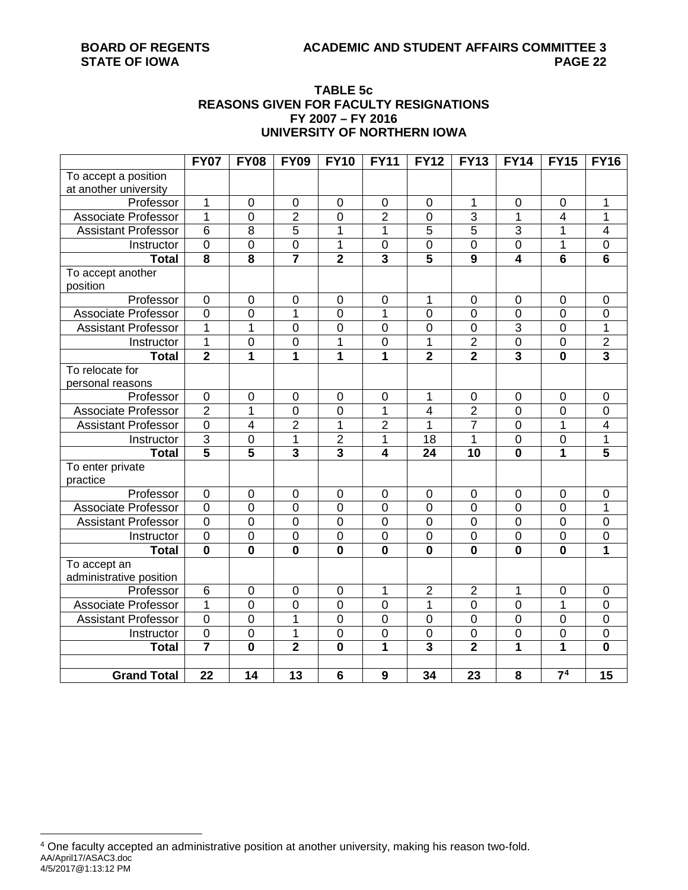# **TABLE 5c REASONS GIVEN FOR FACULTY RESIGNATIONS FY 2007 – FY 2016 UNIVERSITY OF NORTHERN IOWA**

|                              | <b>FY07</b>             | <b>FY08</b>             | <b>FY09</b>             | <b>FY10</b>             | <b>FY11</b>             | <b>FY12</b>             | <b>FY13</b>             | <b>FY14</b>             | <b>FY15</b>             | <b>FY16</b>             |
|------------------------------|-------------------------|-------------------------|-------------------------|-------------------------|-------------------------|-------------------------|-------------------------|-------------------------|-------------------------|-------------------------|
| To accept a position         |                         |                         |                         |                         |                         |                         |                         |                         |                         |                         |
| at another university        |                         |                         |                         |                         |                         |                         |                         |                         |                         |                         |
| Professor                    | 1                       | $\boldsymbol{0}$        | $\pmb{0}$               | $\pmb{0}$               | $\mathbf 0$             | $\mathbf 0$             | 1                       | $\mathbf 0$             | $\pmb{0}$               | 1                       |
| Associate Professor          | $\overline{1}$          | $\overline{0}$          | $\overline{2}$          | $\overline{0}$          | $\overline{2}$          | 0                       | $\overline{3}$          | $\overline{1}$          | 4                       | $\overline{1}$          |
| <b>Assistant Professor</b>   | $\overline{6}$          | $\overline{8}$          | $\overline{5}$          | 1                       | 1                       | $\overline{5}$          | $\overline{5}$          | $\overline{3}$          | 1                       | $\overline{\mathbf{4}}$ |
| Instructor                   | $\overline{0}$          | $\overline{0}$          | $\overline{0}$          | 1                       | $\overline{0}$          | $\overline{0}$          | $\overline{0}$          | $\overline{0}$          | $\overline{1}$          | $\overline{0}$          |
| <b>Total</b>                 | 8                       | $\overline{\mathbf{8}}$ | $\overline{\mathbf{7}}$ | $\overline{2}$          | $\overline{\mathbf{3}}$ | 5                       | 9                       | $\overline{\mathbf{4}}$ | $6\phantom{1}$          | $6\phantom{1}$          |
| To accept another            |                         |                         |                         |                         |                         |                         |                         |                         |                         |                         |
| position                     |                         |                         |                         |                         |                         |                         |                         |                         |                         |                         |
| Professor                    | $\overline{0}$          | $\overline{0}$          | $\mathbf 0$             | $\mathbf 0$             | $\overline{0}$          | 1                       | $\mathbf 0$             | $\mathbf 0$             | $\mathbf 0$             | $\pmb{0}$               |
| <b>Associate Professor</b>   | $\overline{0}$          | $\overline{0}$          | 1                       | $\overline{0}$          | 1                       | $\overline{0}$          | 0                       | $\overline{0}$          | $\overline{0}$          | $\mathbf 0$             |
| <b>Assistant Professor</b>   | 1                       | 1                       | $\mathbf 0$             | $\overline{0}$          | $\mathbf 0$             | $\mathbf 0$             | 0                       | 3                       | $\boldsymbol{0}$        | 1                       |
| Instructor                   | $\overline{1}$          | $\overline{0}$          | $\overline{0}$          | $\mathbf{1}$            | $\overline{0}$          | $\overline{1}$          | $\overline{2}$          | $\overline{0}$          | $\overline{0}$          | $\overline{2}$          |
| <b>Total</b>                 | $\overline{2}$          | 1                       | 1                       | 1                       | 1                       | $\overline{2}$          | $\overline{\mathbf{2}}$ | $\overline{3}$          | $\mathbf 0$             | $\overline{\mathbf{3}}$ |
| To relocate for              |                         |                         |                         |                         |                         |                         |                         |                         |                         |                         |
| personal reasons             |                         |                         |                         |                         |                         |                         |                         |                         |                         |                         |
| Professor                    | $\mathbf 0$             | $\pmb{0}$               | $\boldsymbol{0}$        | $\boldsymbol{0}$        | $\mathbf 0$             | 1                       | $\pmb{0}$               | $\mathbf 0$             | $\pmb{0}$               | $\mathbf 0$             |
| <b>Associate Professor</b>   | $\overline{2}$          | $\overline{1}$          | $\mathbf 0$             | $\mathbf 0$             | $\mathbf{1}$            | 4                       | $\overline{2}$          | $\mathbf 0$             | 0                       | $\pmb{0}$               |
| <b>Assistant Professor</b>   | $\overline{0}$          | $\overline{4}$          | $\overline{2}$          | $\overline{1}$          | $\overline{2}$          | 1                       | $\overline{7}$          | $\mathbf 0$             | $\mathbf 1$             | $\overline{4}$          |
| Instructor                   | $\overline{3}$          | $\mathbf 0$             | $\mathbf 1$             | $\overline{\mathbf{c}}$ | $\mathbf 1$             | 18                      | 1                       | $\mathbf 0$             | 0                       | 1                       |
| <b>Total</b>                 | $\overline{5}$          | $\overline{5}$          | $\overline{\mathbf{3}}$ | $\overline{\mathbf{3}}$ | $\overline{4}$          | $\overline{24}$         | $\overline{10}$         | $\overline{\mathbf{0}}$ | $\overline{\mathbf{1}}$ | $\overline{\mathbf{5}}$ |
| To enter private<br>practice |                         |                         |                         |                         |                         |                         |                         |                         |                         |                         |
| Professor                    | $\mathbf 0$             | $\overline{0}$          | $\overline{0}$          | $\mathbf 0$             | $\overline{0}$          | $\mathbf 0$             | $\mathbf 0$             | $\mathbf 0$             | $\mathbf 0$             | $\mathbf 0$             |
| <b>Associate Professor</b>   | $\overline{0}$          | $\overline{0}$          | $\overline{0}$          | $\overline{0}$          | $\overline{0}$          | 0                       | $\overline{0}$          | $\overline{0}$          | 0                       | 1                       |
| <b>Assistant Professor</b>   | $\overline{0}$          | $\overline{0}$          | $\overline{0}$          | $\overline{0}$          | $\overline{0}$          | $\overline{0}$          | $\mathbf 0$             | $\overline{0}$          | $\overline{0}$          | $\pmb{0}$               |
| Instructor                   | $\overline{0}$          | $\overline{0}$          | $\overline{0}$          | $\overline{0}$          | $\overline{0}$          | 0                       | $\overline{0}$          | $\overline{0}$          | 0                       | $\overline{0}$          |
| <b>Total</b>                 | $\mathbf 0$             | $\overline{\mathbf{0}}$ | $\overline{\mathbf{0}}$ | $\overline{\mathbf{0}}$ | $\mathbf 0$             | $\bf{0}$                | $\mathbf 0$             | $\mathbf 0$             | $\mathbf 0$             | 1                       |
| To accept an                 |                         |                         |                         |                         |                         |                         |                         |                         |                         |                         |
| administrative position      |                         |                         |                         |                         |                         |                         |                         |                         |                         |                         |
| Professor                    | 6                       | $\overline{0}$          | $\mathbf 0$             | $\mathbf 0$             | $\mathbf 1$             | $\overline{2}$          | $\overline{2}$          | 1                       | 0                       | $\boldsymbol{0}$        |
| <b>Associate Professor</b>   | 1                       | $\overline{0}$          | $\overline{0}$          | $\overline{0}$          | $\overline{0}$          | 1                       | $\mathbf 0$             | $\mathbf 0$             | 1                       | $\pmb{0}$               |
| <b>Assistant Professor</b>   | $\overline{0}$          | $\overline{0}$          | 1                       | $\overline{0}$          | $\overline{0}$          | $\mathbf 0$             | 0                       | $\overline{0}$          | 0                       | $\mathsf 0$             |
| Instructor                   | $\overline{0}$          | $\overline{0}$          | 1                       | $\overline{0}$          | $\overline{0}$          | $\overline{0}$          | 0                       | $\mathbf 0$             | 0                       | $\mathbf 0$             |
| <b>Total</b>                 | $\overline{\mathbf{7}}$ | $\overline{\mathbf{0}}$ | $\overline{2}$          | $\overline{\mathbf{0}}$ | $\overline{1}$          | $\overline{\mathbf{3}}$ | $\overline{2}$          | $\overline{\mathbf{1}}$ | 1                       | $\overline{\mathbf{0}}$ |
|                              |                         |                         |                         |                         |                         |                         |                         |                         |                         |                         |
| <b>Grand Total</b>           | 22                      | 14                      | 13                      | 6                       | 9                       | 34                      | 23                      | 8                       | $\overline{7^4}$        | 15                      |

<span id="page-21-0"></span>AA/April17/ASAC3.doc 4/5/2017@1:13:12 PM 4 One faculty accepted an administrative position at another university, making his reason two-fold.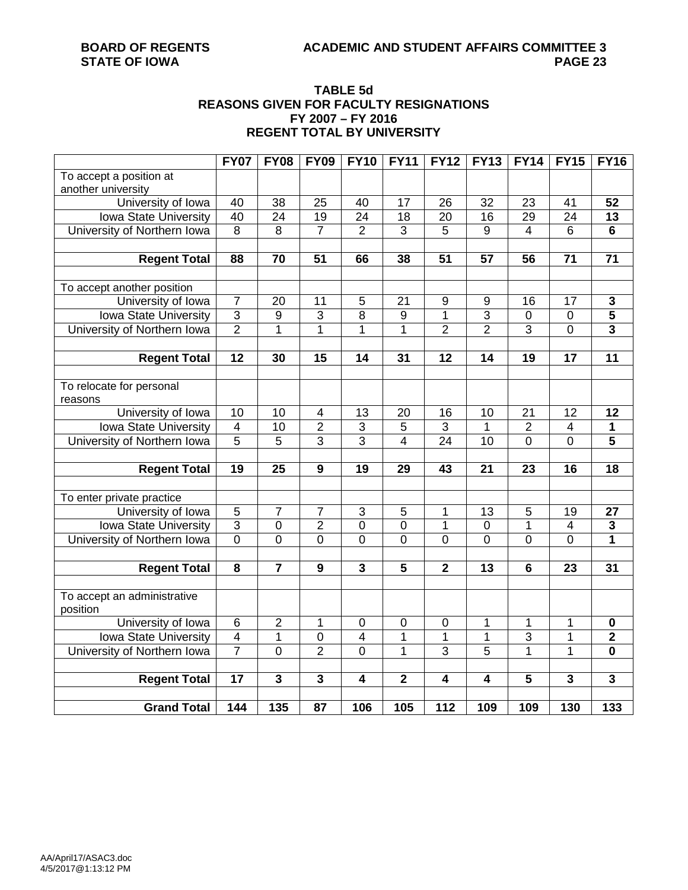# **TABLE 5d REASONS GIVEN FOR FACULTY RESIGNATIONS FY 2007 – FY 2016 REGENT TOTAL BY UNIVERSITY**

|                              | <b>FY07</b>             | <b>FY08</b>     | <b>FY09</b>             | <b>FY10</b>               | <b>FY11</b>             | <b>FY12</b>             | <b>FY13</b>             | <b>FY14</b>     | <b>FY15</b>             | <b>FY16</b>             |
|------------------------------|-------------------------|-----------------|-------------------------|---------------------------|-------------------------|-------------------------|-------------------------|-----------------|-------------------------|-------------------------|
| To accept a position at      |                         |                 |                         |                           |                         |                         |                         |                 |                         |                         |
| another university           |                         |                 |                         |                           |                         |                         |                         |                 |                         |                         |
| University of Iowa           | 40                      | 38              | 25                      | 40                        | 17                      | 26                      | 32                      | 23              | 41                      | 52                      |
| Iowa State University        | 40                      | $\overline{24}$ | 19                      | $\overline{24}$           | $\overline{18}$         | $\overline{20}$         | 16                      | 29              | $\overline{24}$         | $\overline{13}$         |
| University of Northern Iowa  | $\overline{8}$          | $\overline{8}$  | $\overline{7}$          | $\overline{2}$            | $\overline{3}$          | $\overline{5}$          | 9                       | 4               | $\overline{6}$          | 6                       |
|                              |                         |                 |                         |                           |                         |                         |                         |                 |                         |                         |
| <b>Regent Total</b>          | 88                      | 70              | 51                      | 66                        | 38                      | 51                      | 57                      | 56              | 71                      | $\overline{71}$         |
|                              |                         |                 |                         |                           |                         |                         |                         |                 |                         |                         |
| To accept another position   |                         |                 |                         |                           |                         |                         |                         |                 |                         |                         |
| University of Iowa           | $\overline{7}$          | $\overline{20}$ | $\overline{11}$         | 5                         | $\overline{21}$         | 9                       | 9                       | 16              | 17                      | $\overline{\mathbf{3}}$ |
| Iowa State University        | $\overline{3}$          | $\overline{9}$  | 3                       | $\overline{8}$            | $\overline{9}$          | 1                       | $\overline{3}$          | $\mathbf 0$     | $\mathbf 0$             | $\overline{\mathbf{5}}$ |
| University of Northern Iowa  | $\overline{2}$          | $\overline{1}$  | 1                       | $\overline{1}$            | $\overline{1}$          | $\overline{2}$          | $\overline{2}$          | $\overline{3}$  | $\overline{0}$          | $\overline{\mathbf{3}}$ |
|                              |                         |                 |                         |                           |                         |                         |                         |                 |                         |                         |
| <b>Regent Total</b>          | $\overline{12}$         | 30              | $\overline{15}$         | $\overline{14}$           | $\overline{31}$         | $\overline{12}$         | 14                      | $\overline{19}$ | $\overline{17}$         | $\overline{11}$         |
|                              |                         |                 |                         |                           |                         |                         |                         |                 |                         |                         |
| To relocate for personal     |                         |                 |                         |                           |                         |                         |                         |                 |                         |                         |
| reasons                      |                         |                 |                         |                           |                         |                         |                         |                 |                         |                         |
| University of Iowa           | $\overline{10}$         | $\overline{10}$ | 4                       | 13                        | $\overline{20}$         | 16                      | 10                      | $\overline{21}$ | 12                      | $\overline{12}$         |
| Iowa State University        | $\overline{\mathbf{4}}$ | 10              | $\overline{2}$          | $\ensuremath{\mathsf{3}}$ | 5                       | 3                       | 1                       | $\overline{2}$  | $\overline{\mathbf{4}}$ | 1                       |
| University of Northern Iowa  | $\overline{5}$          | $\overline{5}$  | $\overline{3}$          | $\overline{3}$            | $\overline{4}$          | 24                      | $\overline{10}$         | 0               | $\overline{0}$          | $\overline{\mathbf{5}}$ |
|                              |                         |                 |                         |                           |                         |                         |                         |                 |                         |                         |
| <b>Regent Total</b>          | $\overline{19}$         | $\overline{25}$ | $\overline{9}$          | $\overline{19}$           | 29                      | 43                      | $\overline{21}$         | 23              | 16                      | $\overline{18}$         |
|                              |                         |                 |                         |                           |                         |                         |                         |                 |                         |                         |
| To enter private practice    |                         |                 |                         |                           |                         |                         |                         |                 |                         |                         |
| University of Iowa           | 5                       | $\overline{7}$  | $\overline{7}$          | 3                         | 5                       | 1                       | 13                      | 5               | 19                      | 27                      |
| <b>Iowa State University</b> | $\overline{3}$          | $\overline{0}$  | $\overline{2}$          | $\overline{0}$            | $\overline{0}$          | 1                       | $\mathbf 0$             | 1               | 4                       | $\overline{\mathbf{3}}$ |
| University of Northern Iowa  | $\overline{0}$          | $\overline{0}$  | 0                       | $\overline{0}$            | $\overline{0}$          | 0                       | 0                       | 0               | 0                       | $\overline{1}$          |
|                              |                         |                 |                         |                           |                         |                         |                         |                 |                         |                         |
| <b>Regent Total</b>          | 8                       | $\overline{7}$  | 9                       | $\mathbf{3}$              | $\overline{\mathbf{5}}$ | $\overline{\mathbf{2}}$ | 13                      | 6               | 23                      | 31                      |
|                              |                         |                 |                         |                           |                         |                         |                         |                 |                         |                         |
| To accept an administrative  |                         |                 |                         |                           |                         |                         |                         |                 |                         |                         |
| position                     |                         |                 |                         |                           |                         |                         |                         |                 |                         |                         |
| University of Iowa           | $\,6$                   | $\overline{2}$  | 1                       | $\pmb{0}$                 | $\boldsymbol{0}$        | $\mathbf 0$             | 1                       | 1               | 1                       | $\pmb{0}$               |
| Iowa State University        | $\overline{\mathbf{4}}$ | 1               | $\pmb{0}$               | 4                         | 1                       | 1                       | 1                       | $\overline{3}$  | 1                       | $\mathbf 2$             |
| University of Northern Iowa  | $\overline{7}$          | $\overline{0}$  | $\overline{2}$          | $\overline{0}$            | $\overline{1}$          | 3                       | 5                       | $\overline{1}$  | 1                       | $\mathbf 0$             |
|                              |                         |                 |                         |                           |                         |                         |                         |                 |                         |                         |
| <b>Regent Total</b>          | $\overline{17}$         | $\overline{3}$  | $\overline{\mathbf{3}}$ | $\overline{4}$            | $\overline{2}$          | 4                       | $\overline{\mathbf{4}}$ | $\overline{5}$  | 3                       | $\overline{\mathbf{3}}$ |
|                              |                         |                 |                         |                           |                         |                         |                         |                 |                         |                         |
| <b>Grand Total</b>           | 144                     | 135             | 87                      | 106                       | 105                     | 112                     | 109                     | 109             | 130                     | 133                     |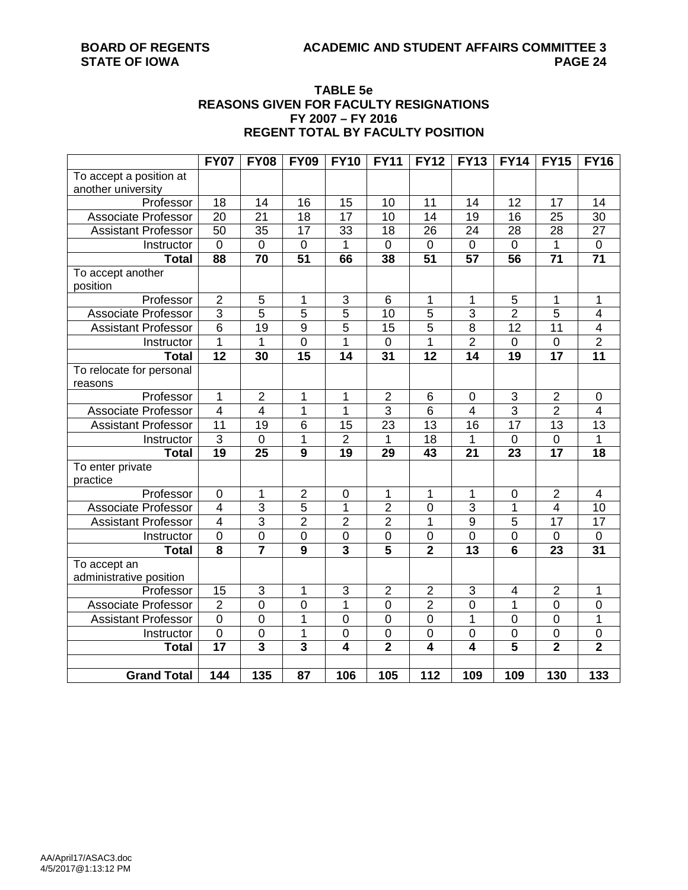### **TABLE 5e REASONS GIVEN FOR FACULTY RESIGNATIONS FY 2007 – FY 2016 REGENT TOTAL BY FACULTY POSITION**

|                            | <b>FY07</b>             | <b>FY08</b>             | <b>FY09</b>             | <b>FY10</b>             | <b>FY11</b>     | <b>FY12</b>         | <b>FY13</b>     | <b>FY14</b>     | <b>FY15</b>             | <b>FY16</b>             |
|----------------------------|-------------------------|-------------------------|-------------------------|-------------------------|-----------------|---------------------|-----------------|-----------------|-------------------------|-------------------------|
| To accept a position at    |                         |                         |                         |                         |                 |                     |                 |                 |                         |                         |
| another university         |                         |                         |                         |                         |                 |                     |                 |                 |                         |                         |
| Professor                  | 18                      | 14                      | 16                      | 15                      | 10              | 11                  | 14              | 12              | 17                      | 14                      |
| <b>Associate Professor</b> | $\overline{20}$         | $\overline{21}$         | $\overline{18}$         | 17                      | 10              | 14                  | 19              | $\overline{16}$ | $\overline{25}$         | $\overline{30}$         |
| <b>Assistant Professor</b> | $\overline{50}$         | $\overline{35}$         | $\overline{17}$         | $\overline{33}$         | $\overline{18}$ | $\overline{26}$     | 24              | 28              | $\overline{28}$         | $\overline{27}$         |
| Instructor                 | $\pmb{0}$               | $\overline{0}$          | $\mathbf 0$             | 1                       | $\overline{0}$  | $\mathsf 0$         | $\mathsf 0$     | $\mathbf 0$     | 1                       | $\mathbf 0$             |
| <b>Total</b>               | 88                      | 70                      | $\overline{51}$         | 66                      | 38              | $\overline{51}$     | $\overline{57}$ | 56              | $\overline{71}$         | $\overline{71}$         |
| To accept another          |                         |                         |                         |                         |                 |                     |                 |                 |                         |                         |
| position                   |                         |                         |                         |                         |                 |                     |                 |                 |                         |                         |
| Professor                  | $\mathbf 2$             | 5                       | 1                       | 3                       | 6               | 1                   | $\mathbf 1$     | 5               | 1                       | 1                       |
| <b>Associate Professor</b> | $\overline{3}$          | $\overline{5}$          | $\overline{5}$          | $\overline{5}$          | $\overline{10}$ | $\overline{5}$      | $\overline{3}$  | $\overline{2}$  | $\overline{5}$          | 4                       |
| <b>Assistant Professor</b> | $\overline{6}$          | $\overline{19}$         | $\overline{9}$          | $\overline{5}$          | $\overline{15}$ | $\overline{5}$      | $\overline{8}$  | $\overline{12}$ | 11                      | $\overline{\mathbf{4}}$ |
| Instructor                 | $\overline{1}$          | 1                       | $\overline{0}$          | $\overline{1}$          | $\overline{0}$  | 1                   | $\overline{2}$  | $\pmb{0}$       | $\boldsymbol{0}$        | $\overline{2}$          |
| <b>Total</b>               | $\overline{12}$         | 30                      | $\overline{15}$         | $\overline{14}$         | $\overline{31}$ | $\overline{12}$     | $\overline{14}$ | $\overline{19}$ | $\overline{17}$         | $\overline{11}$         |
| To relocate for personal   |                         |                         |                         |                         |                 |                     |                 |                 |                         |                         |
| reasons                    |                         |                         |                         |                         |                 |                     |                 |                 |                         |                         |
| Professor                  | $\mathbf 1$             | $\overline{2}$          | 1                       | 1                       | $\overline{2}$  | 6                   | $\mathbf 0$     | 3               | $\overline{2}$          | 0                       |
| <b>Associate Professor</b> | $\overline{\mathbf{4}}$ | $\overline{\mathbf{4}}$ | 1                       | $\mathbf{1}$            | $\overline{3}$  | 6                   | $\overline{4}$  | $\overline{3}$  | $\overline{2}$          | $\overline{\mathbf{4}}$ |
| Assistant Professor        | $\overline{11}$         | 19                      | 6                       | 15                      | 23              | $\overline{13}$     | 16              | $\overline{17}$ | 13                      | $\overline{13}$         |
| Instructor                 | $\overline{3}$          | $\mathbf 0$             | 1                       | $\overline{c}$          | 1               | 18                  | $\mathbf 1$     | $\mathbf 0$     | $\pmb{0}$               | $\mathbf{1}$            |
| <b>Total</b>               | $\overline{19}$         | 25                      | $\overline{9}$          | 19                      | 29              | $\overline{43}$     | 21              | 23              | $\overline{17}$         | $\overline{18}$         |
| To enter private           |                         |                         |                         |                         |                 |                     |                 |                 |                         |                         |
| practice                   |                         |                         |                         |                         |                 |                     |                 |                 |                         |                         |
| Professor                  | $\mathbf 0$             | 1                       | $\overline{2}$          | $\mathbf 0$             | 1               | 1                   | 1               | $\mathbf 0$     | $\overline{2}$          | $\overline{\mathbf{4}}$ |
| Associate Professor        | $\overline{4}$          | $\overline{3}$          | 5                       | 1                       | $\overline{2}$  | $\overline{0}$      | $\overline{3}$  | $\overline{1}$  | $\overline{4}$          | 10                      |
| <b>Assistant Professor</b> | $\overline{4}$          | $\overline{3}$          | $\overline{2}$          | $\overline{2}$          | $\overline{2}$  | $\overline{1}$      | $\overline{9}$  | $\overline{5}$  | 17                      | $\overline{17}$         |
| Instructor                 | $\overline{0}$          | $\overline{0}$          | $\overline{0}$          | $\overline{0}$          | $\overline{0}$  | $\overline{0}$      | $\overline{0}$  | $\overline{0}$  | $\mathbf 0$             | $\mathsf{O}\xspace$     |
| <b>Total</b>               | $\overline{\mathbf{8}}$ | $\overline{\mathbf{7}}$ | $\overline{9}$          | $\overline{\mathbf{3}}$ | $\overline{5}$  | $\overline{2}$      | $\overline{13}$ | $\overline{6}$  | $\overline{23}$         | $\overline{31}$         |
| To accept an               |                         |                         |                         |                         |                 |                     |                 |                 |                         |                         |
| administrative position    |                         |                         |                         |                         |                 |                     |                 |                 |                         |                         |
| Professor                  | 15                      | 3                       | 1                       | 3                       | $\overline{2}$  | $\overline{2}$      | 3               | 4               | $\overline{2}$          | 1                       |
| Associate Professor        | $\overline{2}$          | $\overline{0}$          | $\overline{0}$          | $\overline{1}$          | $\overline{0}$  | $\overline{2}$      | $\overline{0}$  | $\overline{1}$  | $\overline{0}$          | $\overline{0}$          |
| <b>Assistant Professor</b> | $\overline{0}$          | $\overline{0}$          | 1                       | $\overline{0}$          | $\overline{0}$  | $\overline{0}$      | 1               | $\overline{0}$  | $\mathbf 0$             | 1                       |
| Instructor                 | $\overline{0}$          | $\overline{0}$          | 1                       | $\overline{0}$          | $\overline{0}$  | $\overline{0}$      | $\overline{0}$  | 0               | $\mathbf 0$             | $\overline{0}$          |
| <b>Total</b>               | $\overline{17}$         | $\overline{\mathbf{3}}$ | $\overline{\mathbf{3}}$ | $\overline{4}$          | $\overline{2}$  | $\overline{\bf{4}}$ | 4               | $\overline{5}$  | $\overline{\mathbf{2}}$ | $\overline{2}$          |
|                            |                         |                         |                         |                         |                 |                     |                 |                 |                         |                         |
| <b>Grand Total</b>         | 144                     | 135                     | 87                      | 106                     | 105             | 112                 | 109             | 109             | 130                     | 133                     |